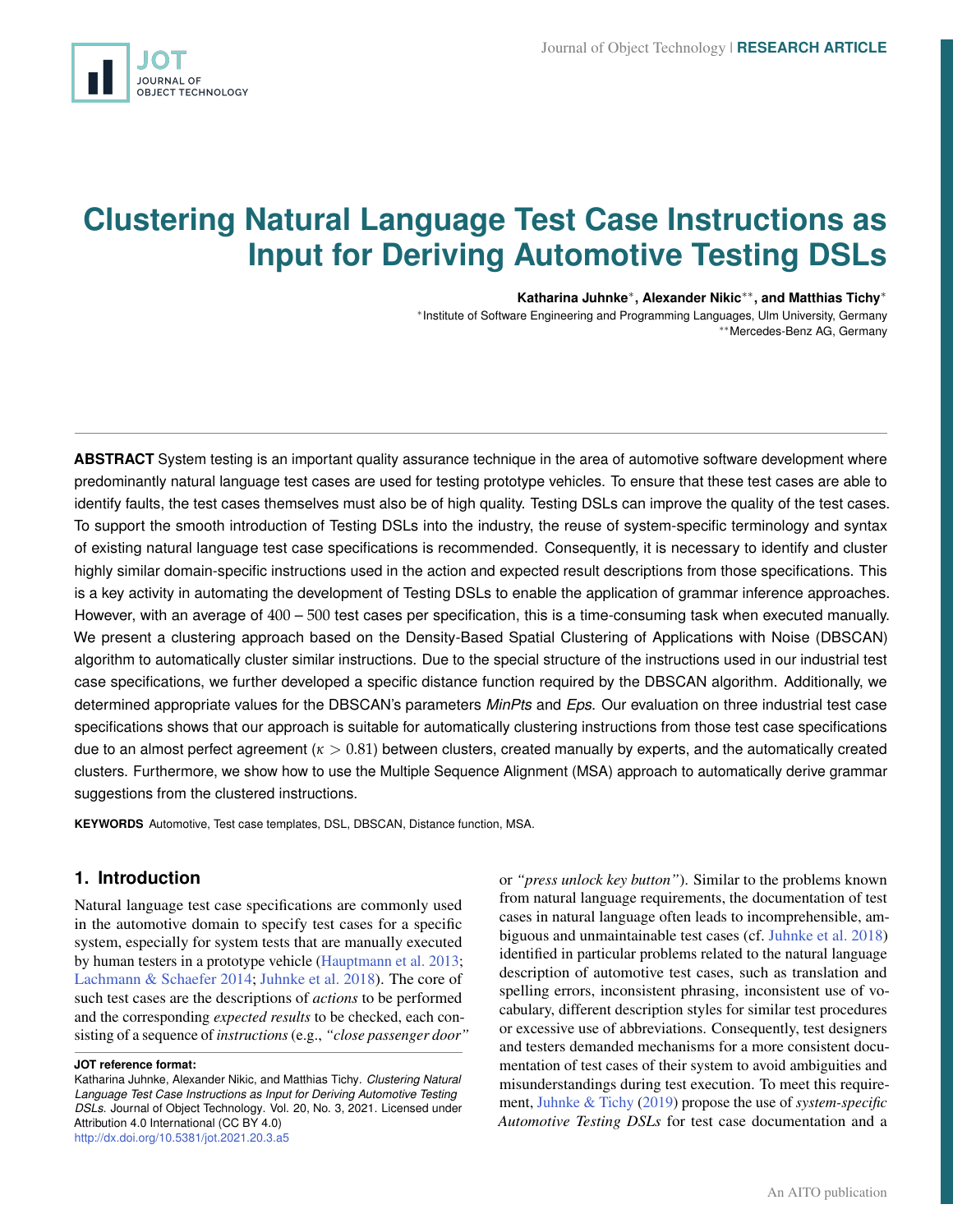<span id="page-0-0"></span>

# **Clustering Natural Language Test Case Instructions as Input for Deriving Automotive Testing DSLs**

**Katharina Juhnke**<sup>∗</sup> **, Alexander Nikic**∗∗**, and Matthias Tichy**<sup>∗</sup>

∗ Institute of Software Engineering and Programming Languages, Ulm University, Germany ∗∗Mercedes-Benz AG, Germany

**ABSTRACT** System testing is an important quality assurance technique in the area of automotive software development where predominantly natural language test cases are used for testing prototype vehicles. To ensure that these test cases are able to identify faults, the test cases themselves must also be of high quality. Testing DSLs can improve the quality of the test cases. To support the smooth introduction of Testing DSLs into the industry, the reuse of system-specific terminology and syntax of existing natural language test case specifications is recommended. Consequently, it is necessary to identify and cluster highly similar domain-specific instructions used in the action and expected result descriptions from those specifications. This is a key activity in automating the development of Testing DSLs to enable the application of grammar inference approaches. However, with an average of 400 – 500 test cases per specification, this is a time-consuming task when executed manually. We present a clustering approach based on the Density-Based Spatial Clustering of Applications with Noise (DBSCAN) algorithm to automatically cluster similar instructions. Due to the special structure of the instructions used in our industrial test case specifications, we further developed a specific distance function required by the DBSCAN algorithm. Additionally, we determined appropriate values for the DBSCAN's parameters *MinPts* and *Eps*. Our evaluation on three industrial test case specifications shows that our approach is suitable for automatically clustering instructions from those test case specifications due to an almost perfect agreement (*κ* > 0.81) between clusters, created manually by experts, and the automatically created clusters. Furthermore, we show how to use the Multiple Sequence Alignment (MSA) approach to automatically derive grammar suggestions from the clustered instructions.

**KEYWORDS** Automotive, Test case templates, DSL, DBSCAN, Distance function, MSA.

# **1. Introduction**

Natural language test case specifications are commonly used in the automotive domain to specify test cases for a specific system, especially for system tests that are manually executed by human testers in a prototype vehicle [\(Hauptmann et al.](#page-12-0) [2013;](#page-12-0) [Lachmann & Schaefer](#page-13-0) [2014;](#page-13-0) [Juhnke et al.](#page-13-1) [2018\)](#page-13-1). The core of such test cases are the descriptions of *actions* to be performed and the corresponding *expected results* to be checked, each consisting of a sequence of *instructions*(e.g., *"close passenger door"*

or *"press unlock key button"*). Similar to the problems known from natural language requirements, the documentation of test cases in natural language often leads to incomprehensible, ambiguous and unmaintainable test cases (cf. [Juhnke et al.](#page-13-1) [2018\)](#page-13-1) identified in particular problems related to the natural language description of automotive test cases, such as translation and spelling errors, inconsistent phrasing, inconsistent use of vocabulary, different description styles for similar test procedures or excessive use of abbreviations. Consequently, test designers and testers demanded mechanisms for a more consistent documentation of test cases of their system to avoid ambiguities and misunderstandings during test execution. To meet this requirement, [Juhnke & Tichy](#page-12-1) [\(2019\)](#page-12-1) propose the use of *system-specific Automotive Testing DSLs* for test case documentation and a

**JOT reference format:**

Katharina Juhnke, Alexander Nikic, and Matthias Tichy. *Clustering Natural Language Test Case Instructions as Input for Deriving Automotive Testing DSLs*. Journal of Object Technology. Vol. 20, No. 3, 2021. Licensed under Attribution 4.0 International (CC BY 4.0) <http://dx.doi.org/10.5381/jot.2021.20.3.a5>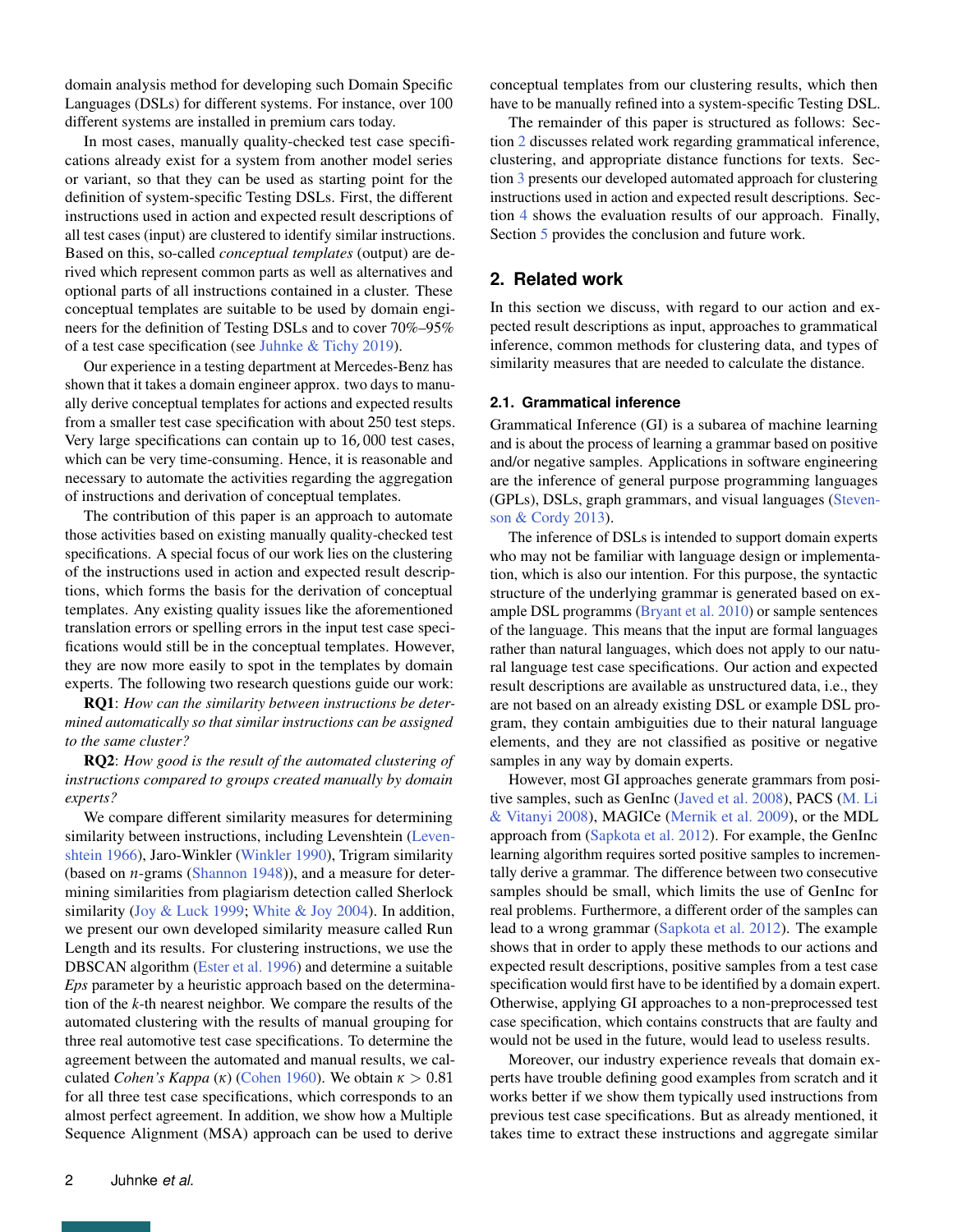domain analysis method for developing such Domain Specific Languages (DSLs) for different systems. For instance, over 100 different systems are installed in premium cars today.

In most cases, manually quality-checked test case specifications already exist for a system from another model series or variant, so that they can be used as starting point for the definition of system-specific Testing DSLs. First, the different instructions used in action and expected result descriptions of all test cases (input) are clustered to identify similar instructions. Based on this, so-called *conceptual templates* (output) are derived which represent common parts as well as alternatives and optional parts of all instructions contained in a cluster. These conceptual templates are suitable to be used by domain engineers for the definition of Testing DSLs and to cover 70%–95% of a test case specification (see [Juhnke & Tichy](#page-12-1) [2019\)](#page-12-1).

Our experience in a testing department at Mercedes-Benz has shown that it takes a domain engineer approx. two days to manually derive conceptual templates for actions and expected results from a smaller test case specification with about 250 test steps. Very large specifications can contain up to 16, 000 test cases, which can be very time-consuming. Hence, it is reasonable and necessary to automate the activities regarding the aggregation of instructions and derivation of conceptual templates.

The contribution of this paper is an approach to automate those activities based on existing manually quality-checked test specifications. A special focus of our work lies on the clustering of the instructions used in action and expected result descriptions, which forms the basis for the derivation of conceptual templates. Any existing quality issues like the aforementioned translation errors or spelling errors in the input test case specifications would still be in the conceptual templates. However, they are now more easily to spot in the templates by domain experts. The following two research questions guide our work:

RQ1: *How can the similarity between instructions be determined automatically so that similar instructions can be assigned to the same cluster?*

RQ2: *How good is the result of the automated clustering of instructions compared to groups created manually by domain experts?*

We compare different similarity measures for determining similarity between instructions, including Levenshtein [\(Leven](#page-13-2)[shtein](#page-13-2) [1966\)](#page-13-2), Jaro-Winkler [\(Winkler](#page-13-3) [1990\)](#page-13-3), Trigram similarity (based on *n*-grams [\(Shannon](#page-13-4) [1948\)](#page-13-4)), and a measure for determining similarities from plagiarism detection called Sherlock similarity [\(Joy & Luck](#page-12-2) [1999;](#page-12-2) [White & Joy](#page-13-5) [2004\)](#page-13-5). In addition, we present our own developed similarity measure called Run Length and its results. For clustering instructions, we use the DBSCAN algorithm [\(Ester et al.](#page-12-3) [1996\)](#page-12-3) and determine a suitable *Eps* parameter by a heuristic approach based on the determination of the *k*-th nearest neighbor. We compare the results of the automated clustering with the results of manual grouping for three real automotive test case specifications. To determine the agreement between the automated and manual results, we calculated *Cohen's Kappa* (*κ*) [\(Cohen](#page-12-4) [1960\)](#page-12-4). We obtain *κ* > 0.81 for all three test case specifications, which corresponds to an almost perfect agreement. In addition, we show how a Multiple Sequence Alignment (MSA) approach can be used to derive

conceptual templates from our clustering results, which then have to be manually refined into a system-specific Testing DSL.

The remainder of this paper is structured as follows: Section [2](#page-1-0) discusses related work regarding grammatical inference, clustering, and appropriate distance functions for texts. Section [3](#page-3-0) presents our developed automated approach for clustering instructions used in action and expected result descriptions. Section [4](#page-9-0) shows the evaluation results of our approach. Finally, Section [5](#page-11-0) provides the conclusion and future work.

# <span id="page-1-0"></span>**2. Related work**

In this section we discuss, with regard to our action and expected result descriptions as input, approaches to grammatical inference, common methods for clustering data, and types of similarity measures that are needed to calculate the distance.

## **2.1. Grammatical inference**

Grammatical Inference (GI) is a subarea of machine learning and is about the process of learning a grammar based on positive and/or negative samples. Applications in software engineering are the inference of general purpose programming languages (GPLs), DSLs, graph grammars, and visual languages [\(Steven](#page-13-6)[son & Cordy](#page-13-6) [2013\)](#page-13-6).

The inference of DSLs is intended to support domain experts who may not be familiar with language design or implementation, which is also our intention. For this purpose, the syntactic structure of the underlying grammar is generated based on example DSL programms [\(Bryant et al.](#page-12-5) [2010\)](#page-12-5) or sample sentences of the language. This means that the input are formal languages rather than natural languages, which does not apply to our natural language test case specifications. Our action and expected result descriptions are available as unstructured data, i.e., they are not based on an already existing DSL or example DSL program, they contain ambiguities due to their natural language elements, and they are not classified as positive or negative samples in any way by domain experts.

However, most GI approaches generate grammars from positive samples, such as GenInc [\(Javed et al.](#page-12-6) [2008\)](#page-12-6), PACS [\(M. Li](#page-13-7) [& Vitanyi](#page-13-7) [2008\)](#page-13-7), MAGICe [\(Mernik et al.](#page-13-8) [2009\)](#page-13-8), or the MDL approach from [\(Sapkota et al.](#page-13-9) [2012\)](#page-13-9). For example, the GenInc learning algorithm requires sorted positive samples to incrementally derive a grammar. The difference between two consecutive samples should be small, which limits the use of GenInc for real problems. Furthermore, a different order of the samples can lead to a wrong grammar [\(Sapkota et al.](#page-13-9) [2012\)](#page-13-9). The example shows that in order to apply these methods to our actions and expected result descriptions, positive samples from a test case specification would first have to be identified by a domain expert. Otherwise, applying GI approaches to a non-preprocessed test case specification, which contains constructs that are faulty and would not be used in the future, would lead to useless results.

Moreover, our industry experience reveals that domain experts have trouble defining good examples from scratch and it works better if we show them typically used instructions from previous test case specifications. But as already mentioned, it takes time to extract these instructions and aggregate similar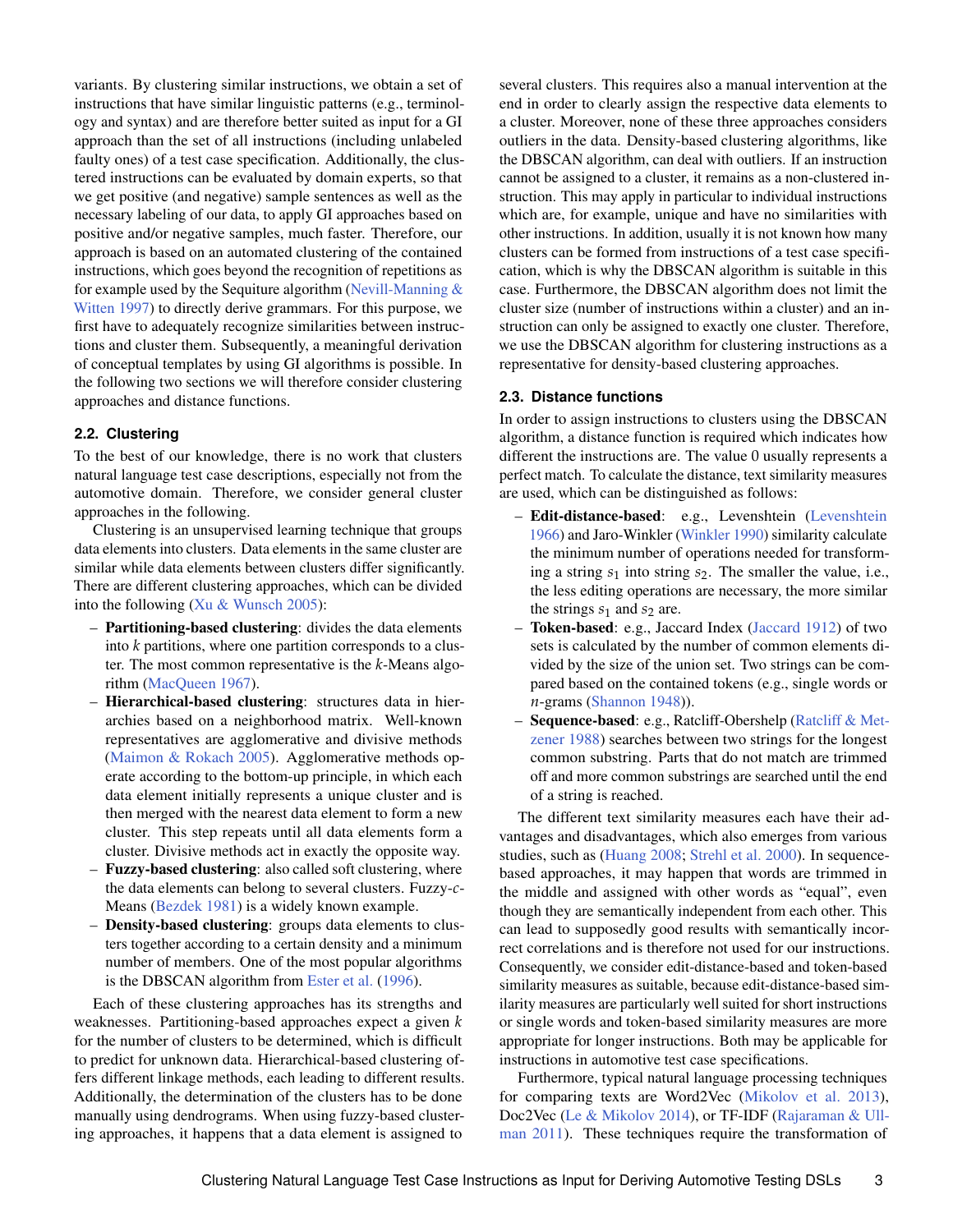variants. By clustering similar instructions, we obtain a set of instructions that have similar linguistic patterns (e.g., terminology and syntax) and are therefore better suited as input for a GI approach than the set of all instructions (including unlabeled faulty ones) of a test case specification. Additionally, the clustered instructions can be evaluated by domain experts, so that we get positive (and negative) sample sentences as well as the necessary labeling of our data, to apply GI approaches based on positive and/or negative samples, much faster. Therefore, our approach is based on an automated clustering of the contained instructions, which goes beyond the recognition of repetitions as for example used by the Sequiture algorithm (Nevill-Manning  $\&$ [Witten](#page-13-10) [1997\)](#page-13-10) to directly derive grammars. For this purpose, we first have to adequately recognize similarities between instructions and cluster them. Subsequently, a meaningful derivation of conceptual templates by using GI algorithms is possible. In the following two sections we will therefore consider clustering approaches and distance functions.

## **2.2. Clustering**

To the best of our knowledge, there is no work that clusters natural language test case descriptions, especially not from the automotive domain. Therefore, we consider general cluster approaches in the following.

Clustering is an unsupervised learning technique that groups data elements into clusters. Data elements in the same cluster are similar while data elements between clusters differ significantly. There are different clustering approaches, which can be divided into the following [\(Xu & Wunsch](#page-13-11) [2005\)](#page-13-11):

- Partitioning-based clustering: divides the data elements into *k* partitions, where one partition corresponds to a cluster. The most common representative is the *k*-Means algorithm [\(MacQueen](#page-13-12) [1967\)](#page-13-12).
- Hierarchical-based clustering: structures data in hierarchies based on a neighborhood matrix. Well-known representatives are agglomerative and divisive methods [\(Maimon & Rokach](#page-13-13) [2005\)](#page-13-13). Agglomerative methods operate according to the bottom-up principle, in which each data element initially represents a unique cluster and is then merged with the nearest data element to form a new cluster. This step repeats until all data elements form a cluster. Divisive methods act in exactly the opposite way.
- Fuzzy-based clustering: also called soft clustering, where the data elements can belong to several clusters. Fuzzy-*c*-Means [\(Bezdek](#page-12-7) [1981\)](#page-12-7) is a widely known example.
- Density-based clustering: groups data elements to clusters together according to a certain density and a minimum number of members. One of the most popular algorithms is the DBSCAN algorithm from [Ester et al.](#page-12-3) [\(1996\)](#page-12-3).

Each of these clustering approaches has its strengths and weaknesses. Partitioning-based approaches expect a given *k* for the number of clusters to be determined, which is difficult to predict for unknown data. Hierarchical-based clustering offers different linkage methods, each leading to different results. Additionally, the determination of the clusters has to be done manually using dendrograms. When using fuzzy-based clustering approaches, it happens that a data element is assigned to

several clusters. This requires also a manual intervention at the end in order to clearly assign the respective data elements to a cluster. Moreover, none of these three approaches considers outliers in the data. Density-based clustering algorithms, like the DBSCAN algorithm, can deal with outliers. If an instruction cannot be assigned to a cluster, it remains as a non-clustered instruction. This may apply in particular to individual instructions which are, for example, unique and have no similarities with other instructions. In addition, usually it is not known how many clusters can be formed from instructions of a test case specification, which is why the DBSCAN algorithm is suitable in this case. Furthermore, the DBSCAN algorithm does not limit the cluster size (number of instructions within a cluster) and an instruction can only be assigned to exactly one cluster. Therefore, we use the DBSCAN algorithm for clustering instructions as a representative for density-based clustering approaches.

#### **2.3. Distance functions**

In order to assign instructions to clusters using the DBSCAN algorithm, a distance function is required which indicates how different the instructions are. The value 0 usually represents a perfect match. To calculate the distance, text similarity measures are used, which can be distinguished as follows:

- Edit-distance-based: e.g., Levenshtein [\(Levenshtein](#page-13-2) [1966\)](#page-13-2) and Jaro-Winkler [\(Winkler](#page-13-3) [1990\)](#page-13-3) similarity calculate the minimum number of operations needed for transforming a string  $s_1$  into string  $s_2$ . The smaller the value, i.e., the less editing operations are necessary, the more similar the strings  $s_1$  and  $s_2$  are.
- Token-based: e.g., Jaccard Index [\(Jaccard](#page-12-8) [1912\)](#page-12-8) of two sets is calculated by the number of common elements divided by the size of the union set. Two strings can be compared based on the contained tokens (e.g., single words or *n*-grams [\(Shannon](#page-13-4) [1948\)](#page-13-4)).
- Sequence-based: e.g., Ratcliff-Obershelp [\(Ratcliff & Met](#page-13-14)[zener](#page-13-14) [1988\)](#page-13-14) searches between two strings for the longest common substring. Parts that do not match are trimmed off and more common substrings are searched until the end of a string is reached.

The different text similarity measures each have their advantages and disadvantages, which also emerges from various studies, such as [\(Huang](#page-12-9) [2008;](#page-12-9) [Strehl et al.](#page-13-15) [2000\)](#page-13-15). In sequencebased approaches, it may happen that words are trimmed in the middle and assigned with other words as "equal", even though they are semantically independent from each other. This can lead to supposedly good results with semantically incorrect correlations and is therefore not used for our instructions. Consequently, we consider edit-distance-based and token-based similarity measures as suitable, because edit-distance-based similarity measures are particularly well suited for short instructions or single words and token-based similarity measures are more appropriate for longer instructions. Both may be applicable for instructions in automotive test case specifications.

Furthermore, typical natural language processing techniques for comparing texts are Word2Vec [\(Mikolov et al.](#page-13-16) [2013\)](#page-13-16), Doc2Vec [\(Le & Mikolov](#page-13-17) [2014\)](#page-13-17), or TF-IDF [\(Rajaraman & Ull](#page-13-18)[man](#page-13-18) [2011\)](#page-13-18). These techniques require the transformation of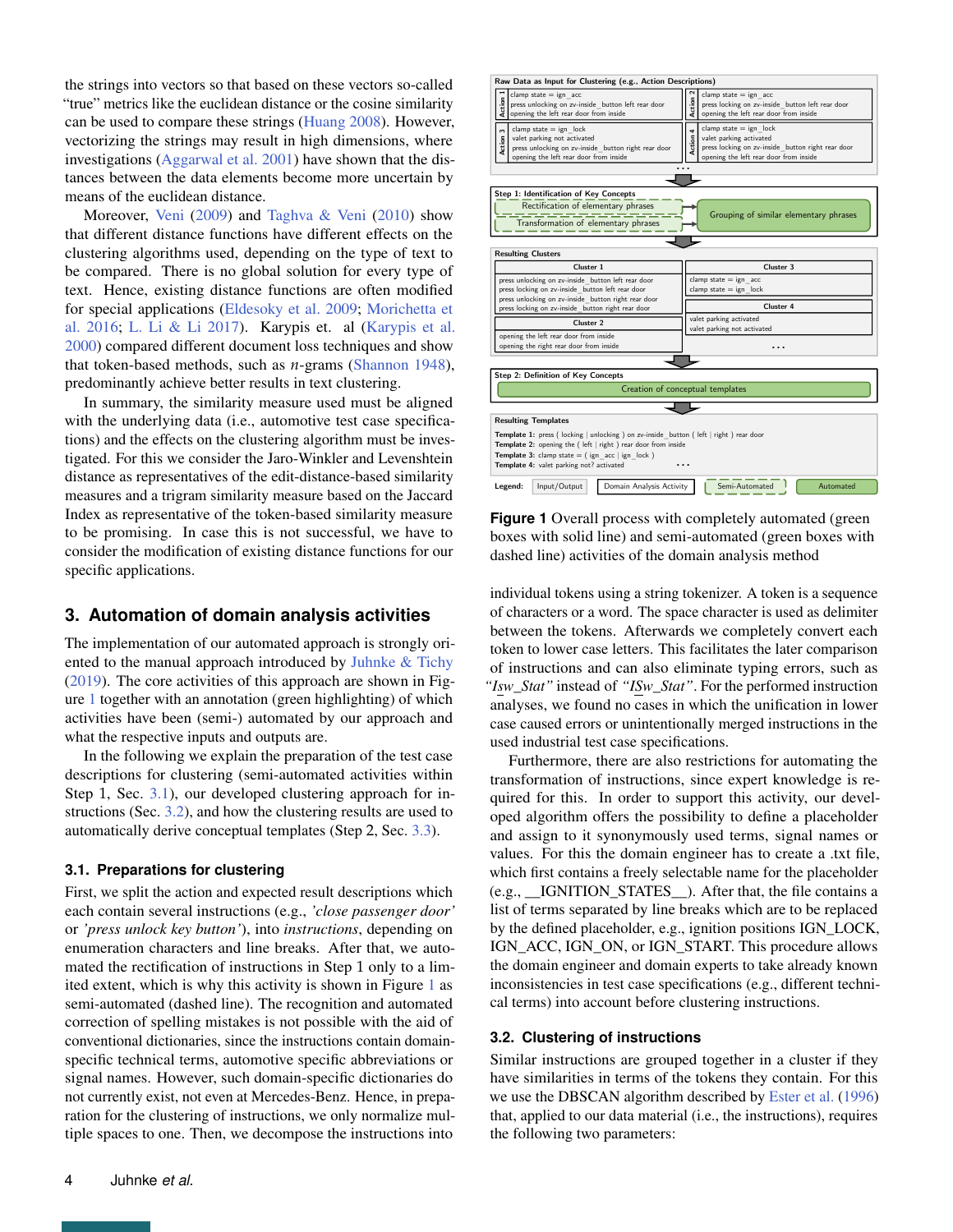the strings into vectors so that based on these vectors so-called "true" metrics like the euclidean distance or the cosine similarity can be used to compare these strings [\(Huang](#page-12-9) [2008\)](#page-12-9). However, vectorizing the strings may result in high dimensions, where investigations [\(Aggarwal et al.](#page-12-10) [2001\)](#page-12-10) have shown that the distances between the data elements become more uncertain by means of the euclidean distance.

Moreover, [Veni](#page-13-19) [\(2009\)](#page-13-19) and [Taghva & Veni](#page-13-20) [\(2010\)](#page-13-20) show that different distance functions have different effects on the clustering algorithms used, depending on the type of text to be compared. There is no global solution for every type of text. Hence, existing distance functions are often modified for special applications [\(Eldesoky et al.](#page-12-11) [2009;](#page-12-11) [Morichetta et](#page-13-21) [al.](#page-13-21) [2016;](#page-13-21) [L. Li & Li](#page-13-22) [2017\)](#page-13-22). Karypis et. al [\(Karypis et al.](#page-13-23) [2000\)](#page-13-23) compared different document loss techniques and show that token-based methods, such as *n*-grams [\(Shannon](#page-13-4) [1948\)](#page-13-4), predominantly achieve better results in text clustering.

In summary, the similarity measure used must be aligned with the underlying data (i.e., automotive test case specifications) and the effects on the clustering algorithm must be investigated. For this we consider the Jaro-Winkler and Levenshtein distance as representatives of the edit-distance-based similarity measures and a trigram similarity measure based on the Jaccard Index as representative of the token-based similarity measure to be promising. In case this is not successful, we have to consider the modification of existing distance functions for our specific applications.

# <span id="page-3-0"></span>**3. Automation of domain analysis activities**

The implementation of our automated approach is strongly oriented to the manual approach introduced by [Juhnke & Tichy](#page-12-1) [\(2019\)](#page-12-1). The core activities of this approach are shown in Figure [1](#page-3-1) together with an annotation (green highlighting) of which activities have been (semi-) automated by our approach and what the respective inputs and outputs are.

In the following we explain the preparation of the test case descriptions for clustering (semi-automated activities within Step 1, Sec. [3.1\)](#page-3-2), our developed clustering approach for instructions (Sec. [3.2\)](#page-3-3), and how the clustering results are used to automatically derive conceptual templates (Step 2, Sec. [3.3\)](#page-8-0).

#### <span id="page-3-2"></span>**3.1. Preparations for clustering**

First, we split the action and expected result descriptions which each contain several instructions (e.g., *'close passenger door'* or *'press unlock key button'*), into *instructions*, depending on enumeration characters and line breaks. After that, we automated the rectification of instructions in Step 1 only to a limited extent, which is why this activity is shown in Figure [1](#page-3-1) as semi-automated (dashed line). The recognition and automated correction of spelling mistakes is not possible with the aid of conventional dictionaries, since the instructions contain domainspecific technical terms, automotive specific abbreviations or signal names. However, such domain-specific dictionaries do not currently exist, not even at Mercedes-Benz. Hence, in preparation for the clustering of instructions, we only normalize multiple spaces to one. Then, we decompose the instructions into

<span id="page-3-1"></span>

**Figure 1** Overall process with completely automated (green) boxes with solid line) and semi-automated (green boxes with dashed line) activities of the domain analysis method

individual tokens using a string tokenizer. A token is a sequence of characters or a word. The space character is used as delimiter between the tokens. Afterwards we completely convert each token to lower case letters. This facilitates the later comparison of instructions and can also eliminate typing errors, such as *"Isw\_Stat"* instead of *"ISw\_Stat"*. For the performed instruction analyses, we found no cases in which the unification in lower case caused errors or unintentionally merged instructions in the used industrial test case specifications.

Furthermore, there are also restrictions for automating the transformation of instructions, since expert knowledge is required for this. In order to support this activity, our developed algorithm offers the possibility to define a placeholder and assign to it synonymously used terms, signal names or values. For this the domain engineer has to create a .txt file, which first contains a freely selectable name for the placeholder (e.g., \_\_IGNITION\_STATES\_\_). After that, the file contains a list of terms separated by line breaks which are to be replaced by the defined placeholder, e.g., ignition positions IGN\_LOCK, IGN\_ACC, IGN\_ON, or IGN\_START. This procedure allows the domain engineer and domain experts to take already known inconsistencies in test case specifications (e.g., different technical terms) into account before clustering instructions.

## <span id="page-3-3"></span>**3.2. Clustering of instructions**

Similar instructions are grouped together in a cluster if they have similarities in terms of the tokens they contain. For this we use the DBSCAN algorithm described by [Ester et al.](#page-12-3) [\(1996\)](#page-12-3) that, applied to our data material (i.e., the instructions), requires the following two parameters: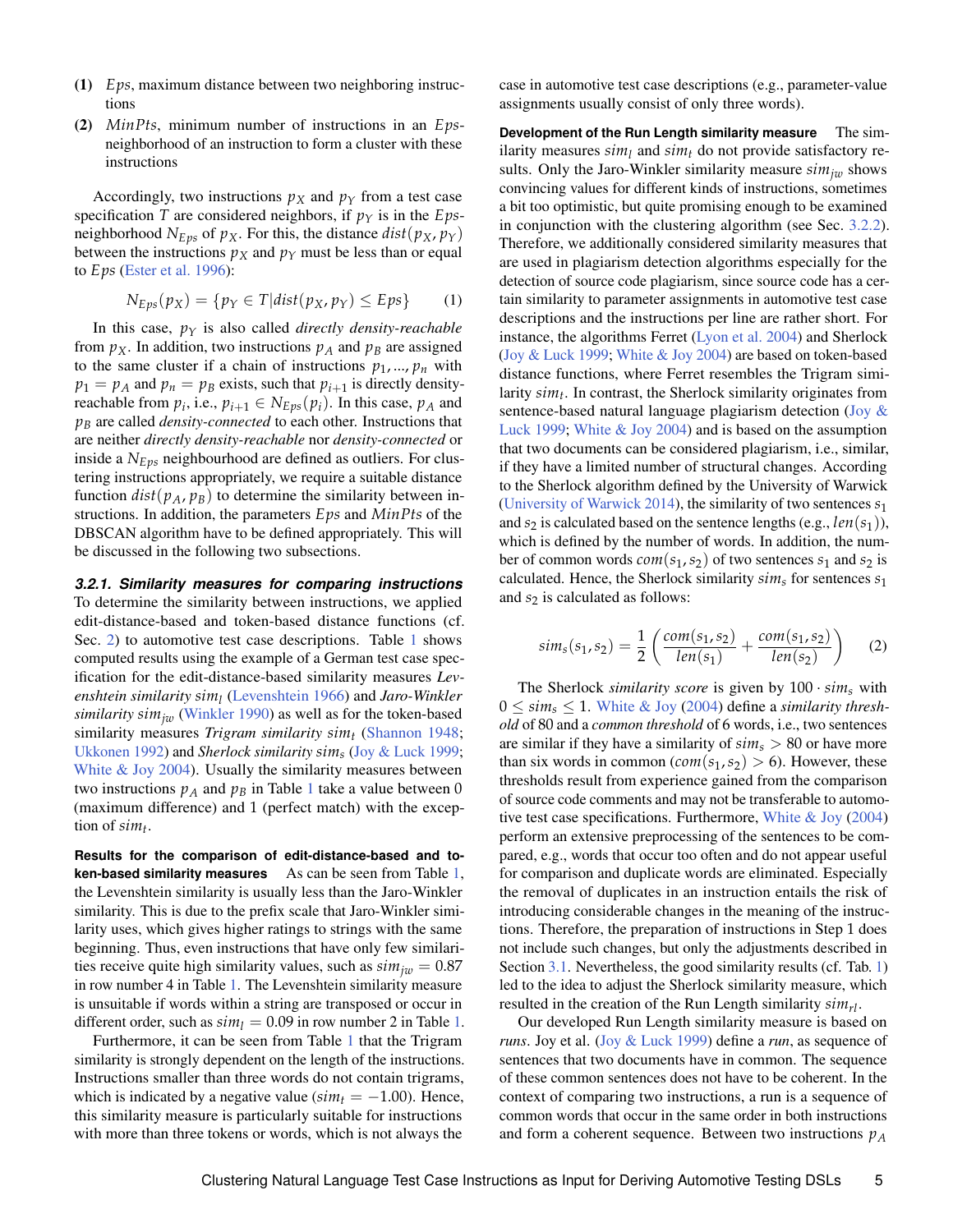- (1) *Eps*, maximum distance between two neighboring instructions
- (2) *MinPts*, minimum number of instructions in an *Eps*neighborhood of an instruction to form a cluster with these instructions

Accordingly, two instructions  $p_X$  and  $p_Y$  from a test case specification *T* are considered neighbors, if  $p<sub>Y</sub>$  is in the *Eps*neighborhood  $N_{Eps}$  of  $p_X$ . For this, the distance  $dist(p_X, p_Y)$ between the instructions  $p_X$  and  $p_Y$  must be less than or equal to *Eps* [\(Ester et al.](#page-12-3) [1996\)](#page-12-3):

$$
N_{Eps}(p_X) = \{ p_Y \in T | dist(p_X, p_Y) \le Eps \}
$$
 (1)

In this case,  $p<sub>Y</sub>$  is also called *directly density-reachable* from  $p_X$ . In addition, two instructions  $p_A$  and  $p_B$  are assigned to the same cluster if a chain of instructions  $p_1, ..., p_n$  with  $p_1 = p_A$  and  $p_n = p_B$  exists, such that  $p_{i+1}$  is directly densityreachable from  $p_i$ , i.e.,  $p_{i+1} \in N_{Eps}(p_i)$ . In this case,  $p_A$  and *p<sup>B</sup>* are called *density-connected* to each other. Instructions that are neither *directly density-reachable* nor *density-connected* or inside a *NEps* neighbourhood are defined as outliers. For clustering instructions appropriately, we require a suitable distance function  $dist(p_A, p_B)$  to determine the similarity between instructions. In addition, the parameters *Eps* and *MinPts* of the DBSCAN algorithm have to be defined appropriately. This will be discussed in the following two subsections.

*3.2.1. Similarity measures for comparing instructions* To determine the similarity between instructions, we applied edit-distance-based and token-based distance functions (cf. Sec. [2\)](#page-1-0) to automotive test case descriptions. Table [1](#page-5-0) shows computed results using the example of a German test case specification for the edit-distance-based similarity measures *Levenshtein similarity sim<sup>l</sup>* [\(Levenshtein](#page-13-2) [1966\)](#page-13-2) and *Jaro-Winkler similarity*  $\sin\frac{1}{w}$  [\(Winkler](#page-13-3) [1990\)](#page-13-3) as well as for the token-based similarity measures *Trigram similarity sim<sup>t</sup>* [\(Shannon](#page-13-4) [1948;](#page-13-4) [Ukkonen](#page-13-24) [1992\)](#page-13-24) and *Sherlock similarity sim<sup>s</sup>* [\(Joy & Luck](#page-12-2) [1999;](#page-12-2) [White & Joy](#page-13-5) [2004\)](#page-13-5). Usually the similarity measures between two instructions  $p_A$  and  $p_B$  in Table [1](#page-5-0) take a value between 0 (maximum difference) and 1 (perfect match) with the exception of *sim<sup>t</sup>* .

**Results for the comparison of edit-distance-based and token-based similarity measures** As can be seen from Table [1,](#page-5-0) the Levenshtein similarity is usually less than the Jaro-Winkler similarity. This is due to the prefix scale that Jaro-Winkler similarity uses, which gives higher ratings to strings with the same beginning. Thus, even instructions that have only few similarities receive quite high similarity values, such as  $\sin n_{jw} = 0.87$ in row number 4 in Table [1.](#page-5-0) The Levenshtein similarity measure is unsuitable if words within a string are transposed or occur in different order, such as  $\sin\eta = 0.09$  in row number 2 in Table [1.](#page-5-0)

Furthermore, it can be seen from Table [1](#page-5-0) that the Trigram similarity is strongly dependent on the length of the instructions. Instructions smaller than three words do not contain trigrams, which is indicated by a negative value ( $\sin t = -1.00$ ). Hence, this similarity measure is particularly suitable for instructions with more than three tokens or words, which is not always the

case in automotive test case descriptions (e.g., parameter-value assignments usually consist of only three words).

**Development of the Run Length similarity measure** The similarity measures  $\sin\eta$  and  $\sin\eta$  do not provide satisfactory results. Only the Jaro-Winkler similarity measure  $\sin n_{jw}$  shows convincing values for different kinds of instructions, sometimes a bit too optimistic, but quite promising enough to be examined in conjunction with the clustering algorithm (see Sec. [3.2.2\)](#page-6-0). Therefore, we additionally considered similarity measures that are used in plagiarism detection algorithms especially for the detection of source code plagiarism, since source code has a certain similarity to parameter assignments in automotive test case descriptions and the instructions per line are rather short. For instance, the algorithms Ferret [\(Lyon et al.](#page-13-25) [2004\)](#page-13-25) and Sherlock [\(Joy & Luck](#page-12-2) [1999;](#page-12-2) [White & Joy](#page-13-5) [2004\)](#page-13-5) are based on token-based distance functions, where Ferret resembles the Trigram similarity *sim<sup>t</sup>* . In contrast, the Sherlock similarity originates from sentence-based natural language plagiarism detection [\(Joy &](#page-12-2) [Luck](#page-12-2) [1999;](#page-12-2) [White & Joy](#page-13-5) [2004\)](#page-13-5) and is based on the assumption that two documents can be considered plagiarism, i.e., similar, if they have a limited number of structural changes. According to the Sherlock algorithm defined by the University of Warwick [\(University of Warwick](#page-13-26) [2014\)](#page-13-26), the similarity of two sentences *s*<sup>1</sup> and  $s_2$  is calculated based on the sentence lengths (e.g.,  $len(s_1)$ ), which is defined by the number of words. In addition, the number of common words  $com(s_1, s_2)$  of two sentences  $s_1$  and  $s_2$  is calculated. Hence, the Sherlock similarity *sim<sup>s</sup>* for sentences *s*<sup>1</sup> and  $s_2$  is calculated as follows:

<span id="page-4-0"></span>
$$
sim_s(s_1, s_2) = \frac{1}{2} \left( \frac{com(s_1, s_2)}{len(s_1)} + \frac{com(s_1, s_2)}{len(s_2)} \right) \tag{2}
$$

The Sherlock *similarity score* is given by  $100 \cdot \sin s$  with  $0 \leq \sin s \leq 1$ . [White & Joy](#page-13-5) [\(2004\)](#page-13-5) define a *similarity threshold* of 80 and a *common threshold* of 6 words, i.e., two sentences are similar if they have a similarity of *sim<sup>s</sup>* > 80 or have more than six words in common (*com*( $s_1$ ,  $s_2$ ) > 6). However, these thresholds result from experience gained from the comparison of source code comments and may not be transferable to automotive test case specifications. Furthermore, [White & Joy](#page-13-5) [\(2004\)](#page-13-5) perform an extensive preprocessing of the sentences to be compared, e.g., words that occur too often and do not appear useful for comparison and duplicate words are eliminated. Especially the removal of duplicates in an instruction entails the risk of introducing considerable changes in the meaning of the instructions. Therefore, the preparation of instructions in Step 1 does not include such changes, but only the adjustments described in Section [3.1.](#page-3-2) Nevertheless, the good similarity results (cf. Tab. [1\)](#page-5-0) led to the idea to adjust the Sherlock similarity measure, which resulted in the creation of the Run Length similarity *simrl*.

Our developed Run Length similarity measure is based on *runs*. Joy et al. [\(Joy & Luck](#page-12-2) [1999\)](#page-12-2) define a *run*, as sequence of sentences that two documents have in common. The sequence of these common sentences does not have to be coherent. In the context of comparing two instructions, a run is a sequence of common words that occur in the same order in both instructions and form a coherent sequence. Between two instructions *p<sup>A</sup>*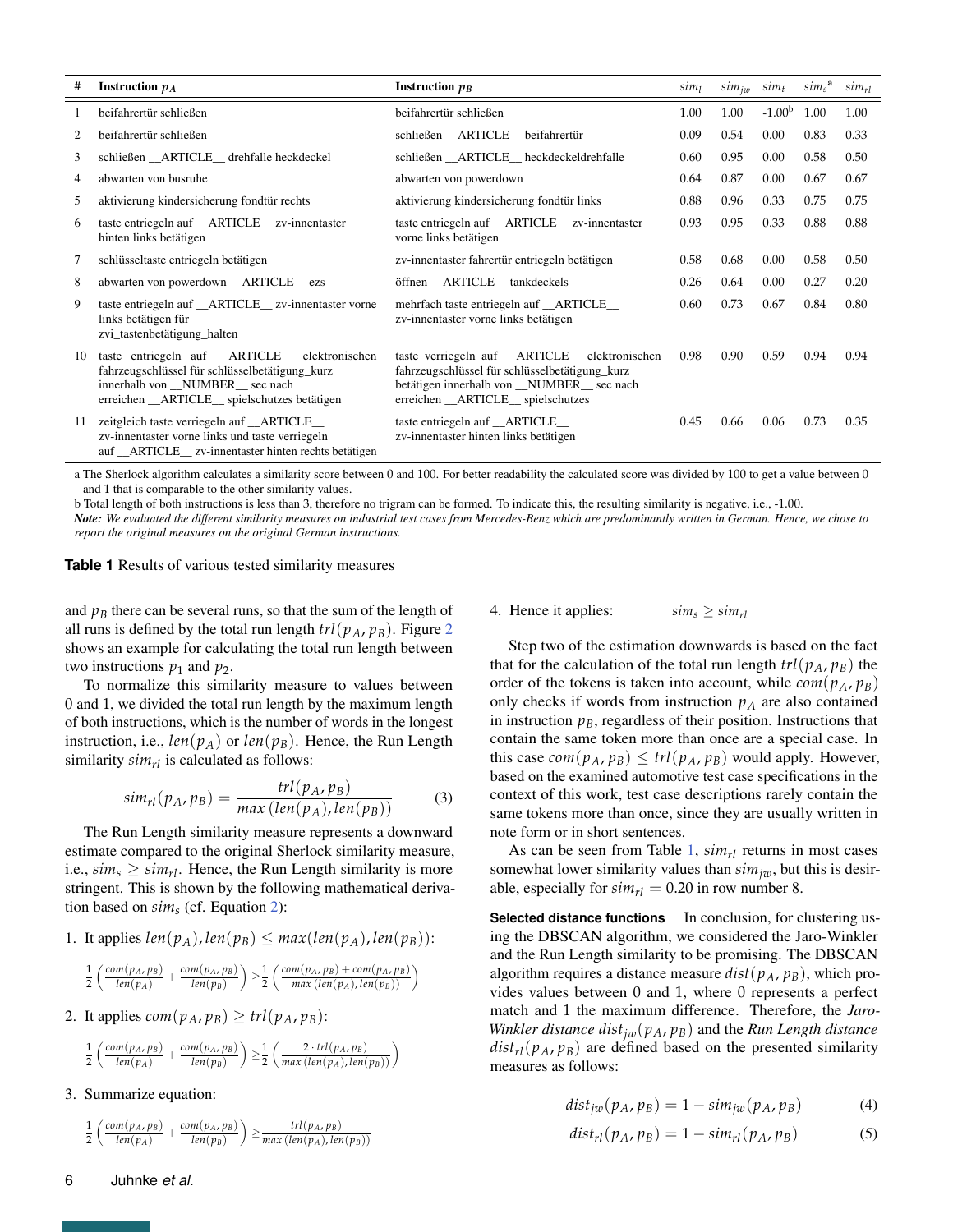<span id="page-5-0"></span>

| #  | Instruction $p_A$                                                                                                                                                                   | Instruction $p_B$                                                                                                                                                                   | sim <sub>l</sub> | $sim_{jw}$ $sim_t$ |          | sim <sub>s</sub> <sup>a</sup> | $sim_{rl}$ |
|----|-------------------------------------------------------------------------------------------------------------------------------------------------------------------------------------|-------------------------------------------------------------------------------------------------------------------------------------------------------------------------------------|------------------|--------------------|----------|-------------------------------|------------|
|    | beifahrertür schließen                                                                                                                                                              | beifahrertür schließen                                                                                                                                                              | 1.00             | 1.00               | $-1.00b$ | 1.00                          | 1.00       |
|    | beifahrertür schließen                                                                                                                                                              | schließen __ ARTICLE__ beifahrertür                                                                                                                                                 | 0.09             | 0.54               | 0.00     | 0.83                          | 0.33       |
| 3  | schließen ARTICLE drehfalle heckdeckel                                                                                                                                              | schließen ARTICLE heckdeckeldrehfalle                                                                                                                                               | 0.60             | 0.95               | 0.00     | 0.58                          | 0.50       |
| 4  | abwarten von busruhe                                                                                                                                                                | abwarten von powerdown                                                                                                                                                              | 0.64             | 0.87               | 0.00     | 0.67                          | 0.67       |
| 5  | aktivierung kindersicherung fondtür rechts                                                                                                                                          | aktivierung kindersicherung fondtür links                                                                                                                                           | 0.88             | 0.96               | 0.33     | 0.75                          | 0.75       |
| 6  | taste entriegeln auf _ARTICLE_zv-innentaster<br>hinten links betätigen                                                                                                              | taste entriegeln auf _ARTICLE_ zv-innentaster<br>vorne links betätigen                                                                                                              | 0.93             | 0.95               | 0.33     | 0.88                          | 0.88       |
| 7  | schlüsseltaste entriegeln betätigen                                                                                                                                                 | zv-innentaster fahrertür entriegeln betätigen                                                                                                                                       | 0.58             | 0.68               | 0.00     | 0.58                          | 0.50       |
| 8  | abwarten von powerdown __ARTICLE__ ezs                                                                                                                                              | öffnen _ARTICLE_tankdeckels                                                                                                                                                         | 0.26             | 0.64               | 0.00     | 0.27                          | 0.20       |
| 9  | taste entriegeln auf __ARTICLE__ zv-innentaster vorne<br>links betätigen für<br>zvi_tastenbetätigung_halten                                                                         | mehrfach taste entriegeln auf __ARTICLE_<br>zv-innentaster vorne links betätigen                                                                                                    | 0.60             | 0.73               | 0.67     | 0.84                          | 0.80       |
| 10 | taste entriegeln auf _ARTICLE_ elektronischen<br>fahrzeugschlüssel für schlüsselbetätigung_kurz<br>innerhalb von __NUMBER__ sec nach<br>erreichen __ARTICLE_spielschutzes betätigen | taste verriegeln auf _ARTICLE_ elektronischen<br>fahrzeugschlüssel für schlüsselbetätigung_kurz<br>betätigen innerhalb von _NUMBER_ sec nach<br>erreichen __ARTICLE__ spielschutzes | 0.98             | 0.90               | 0.59     | 0.94                          | 0.94       |
| 11 | zeitgleich taste verriegeln auf _ARTICLE_<br>zv-innentaster vorne links und taste verriegeln<br>auf __ARTICLE__ zv-innentaster hinten rechts betätigen                              | taste entriegeln auf _ARTICLE_<br>zv-innentaster hinten links betätigen                                                                                                             | 0.45             | 0.66               | 0.06     | 0.73                          | 0.35       |

a The Sherlock algorithm calculates a similarity score between 0 and 100. For better readability the calculated score was divided by 100 to get a value between 0 and 1 that is comparable to the other similarity values.

b Total length of both instructions is less than 3, therefore no trigram can be formed. To indicate this, the resulting similarity is negative, i.e., -1.00.

*Note: We evaluated the different similarity measures on industrial test cases from Mercedes-Benz which are predominantly written in German. Hence, we chose to report the original measures on the original German instructions.*

**Table 1** Results of various tested similarity measures

and  $p<sub>B</sub>$  there can be several runs, so that the sum of the length of all runs is defined by the total run length  $trl(p_A, p_B)$ . Figure [2](#page-6-1) shows an example for calculating the total run length between two instructions  $p_1$  and  $p_2$ .

To normalize this similarity measure to values between 0 and 1, we divided the total run length by the maximum length of both instructions, which is the number of words in the longest instruction, i.e.,  $len(p_A)$  or  $len(p_B)$ . Hence, the Run Length similarity  $sim_{rl}$  is calculated as follows:

$$
sim_{rl}(p_A, p_B) = \frac{trl(p_A, p_B)}{max(len(p_A), len(p_B))}
$$
(3)

The Run Length similarity measure represents a downward estimate compared to the original Sherlock similarity measure, i.e.,  $\sin s \geq \sin t$ <sup>r</sup>l. Hence, the Run Length similarity is more stringent. This is shown by the following mathematical derivation based on *sim<sup>s</sup>* (cf. Equation [2\)](#page-4-0):

1. It applies  $len(p_A)$ ,  $len(p_B) \leq max(len(p_A), len(p_B))$ :

$$
\frac{1}{2}\left(\frac{com(p_A, p_B)}{len(p_A)} + \frac{com(p_A, p_B)}{len(p_B)}\right) \geq \frac{1}{2}\left(\frac{com(p_A, p_B) + com(p_A, p_B)}{max(len(p_A), len(p_B))}\right)
$$

2. It applies  $com(p_A, p_B) \geq trl(p_A, p_B)$ :

$$
\frac{1}{2}\left(\frac{com(p_A, p_B)}{len(p_A)} + \frac{com(p_A, p_B)}{len(p_B)}\right) \geq \frac{1}{2}\left(\frac{2 \cdot trl(p_A, p_B)}{max(len(p_A), len(p_B))}\right)
$$

3. Summarize equation:

$$
\frac{1}{2}\left(\frac{com(p_A, p_B)}{len(p_A)} + \frac{com(p_A, p_B)}{len(p_B)}\right) \geq \frac{trl(p_A, p_B)}{max(len(p_A), len(p_B))}
$$

4. Hence it applies:  $\sin s \ge \sin t$ 

Step two of the estimation downwards is based on the fact that for the calculation of the total run length  $trl(p_A, p_B)$  the order of the tokens is taken into account, while  $com(p_A, p_B)$ only checks if words from instruction  $p_A$  are also contained in instruction  $p_B$ , regardless of their position. Instructions that contain the same token more than once are a special case. In this case  $com(p_A, p_B) \leq trl(p_A, p_B)$  would apply. However, based on the examined automotive test case specifications in the context of this work, test case descriptions rarely contain the same tokens more than once, since they are usually written in note form or in short sentences.

As can be seen from Table [1,](#page-5-0) *simrl* returns in most cases somewhat lower similarity values than *simjw*, but this is desirable, especially for  $\sin n_{rl} = 0.20$  in row number 8.

**Selected distance functions** In conclusion, for clustering using the DBSCAN algorithm, we considered the Jaro-Winkler and the Run Length similarity to be promising. The DBSCAN algorithm requires a distance measure  $dist(p_A, p_B)$ , which provides values between 0 and 1, where 0 represents a perfect match and 1 the maximum difference. Therefore, the *Jaro-Winkler distance distjw*(*pA*, *pB*) and the *Run Length distance*  $dist_{rl}(p_A, p_B)$  are defined based on the presented similarity measures as follows:

$$
dist_{jw}(p_A, p_B) = 1 - sim_{jw}(p_A, p_B)
$$
 (4)

$$
dist_{rl}(p_A, p_B) = 1 - sim_{rl}(p_A, p_B)
$$
 (5)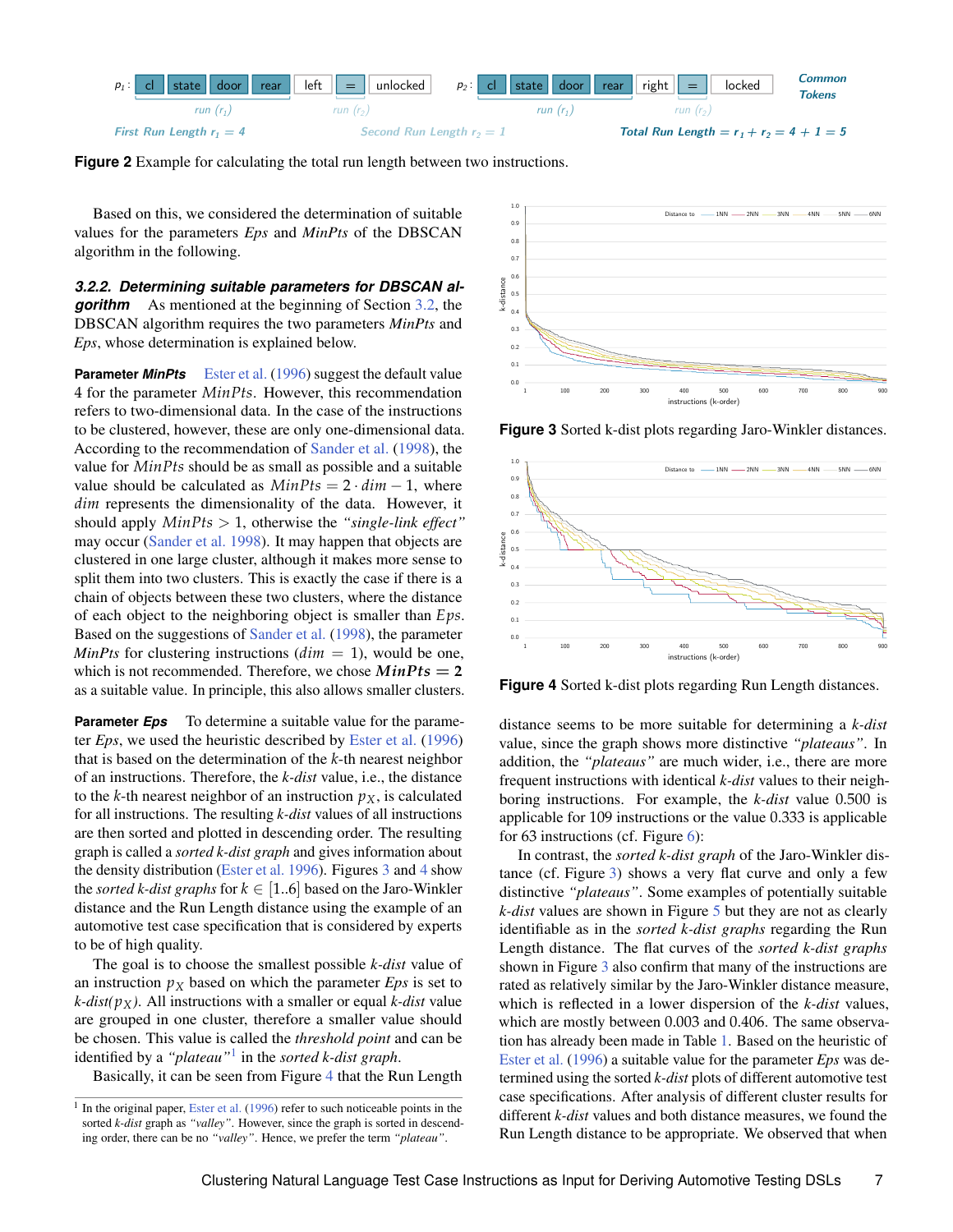<span id="page-6-1"></span>



Based on this, we considered the determination of suitable values for the parameters *Eps* and *MinPts* of the DBSCAN algorithm in the following.

<span id="page-6-0"></span>*3.2.2. Determining suitable parameters for DBSCAN algorithm* As mentioned at the beginning of Section [3.2,](#page-3-3) the DBSCAN algorithm requires the two parameters *MinPts* and *Eps*, whose determination is explained below.

**Parameter** *MinPts* [Ester et al.](#page-12-3) [\(1996\)](#page-12-3) suggest the default value 4 for the parameter *MinPts*. However, this recommendation refers to two-dimensional data. In the case of the instructions to be clustered, however, these are only one-dimensional data. According to the recommendation of [Sander et al.](#page-13-27) [\(1998\)](#page-13-27), the value for *MinPts* should be as small as possible and a suitable value should be calculated as  $MinPts = 2 \cdot dim - 1$ , where *dim* represents the dimensionality of the data. However, it should apply *MinPts* > 1, otherwise the *"single-link effect"* may occur [\(Sander et al.](#page-13-27) [1998\)](#page-13-27). It may happen that objects are clustered in one large cluster, although it makes more sense to split them into two clusters. This is exactly the case if there is a chain of objects between these two clusters, where the distance of each object to the neighboring object is smaller than *Eps*. Based on the suggestions of [Sander et al.](#page-13-27) [\(1998\)](#page-13-27), the parameter *MinPts* for clustering instructions  $(dim = 1)$ , would be one, which is not recommended. Therefore, we chose  $MinPts = 2$ as a suitable value. In principle, this also allows smaller clusters.

**Parameter** *Eps* To determine a suitable value for the parameter *Eps*, we used the heuristic described by [Ester et al.](#page-12-3) [\(1996\)](#page-12-3) that is based on the determination of the *k*-th nearest neighbor of an instructions. Therefore, the *k-dist* value, i.e., the distance to the *k*-th nearest neighbor of an instruction  $p<sub>X</sub>$ , is calculated for all instructions. The resulting *k-dist* values of all instructions are then sorted and plotted in descending order. The resulting graph is called a *sorted k-dist graph* and gives information about the density distribution [\(Ester et al.](#page-12-3) [1996\)](#page-12-3). Figures [3](#page-6-2) and [4](#page-6-3) show the *sorted k-dist graphs* for  $k \in [1..6]$  based on the Jaro-Winkler distance and the Run Length distance using the example of an automotive test case specification that is considered by experts to be of high quality.

The goal is to choose the smallest possible *k-dist* value of an instruction  $p_X$  based on which the parameter  $Eps$  is set to *k-dist(* $p_X$ *)*. All instructions with a smaller or equal *k-dist* value are grouped in one cluster, therefore a smaller value should be chosen. This value is called the *threshold point* and can be identified by a *"plateau"*[1](#page-0-0) in the *sorted k-dist graph*.

Basically, it can be seen from Figure [4](#page-6-3) that the Run Length

<span id="page-6-2"></span>

**Figure 3** Sorted k-dist plots regarding Jaro-Winkler distances.

<span id="page-6-3"></span>

**Figure 4** Sorted k-dist plots regarding Run Length distances.

distance seems to be more suitable for determining a *k-dist* value, since the graph shows more distinctive *"plateaus"*. In addition, the *"plateaus"* are much wider, i.e., there are more frequent instructions with identical *k-dist* values to their neighboring instructions. For example, the *k-dist* value 0.500 is applicable for 109 instructions or the value 0.333 is applicable for 63 instructions (cf. Figure  $6$ ):

In contrast, the *sorted k-dist graph* of the Jaro-Winkler distance (cf. Figure [3\)](#page-6-2) shows a very flat curve and only a few distinctive *"plateaus"*. Some examples of potentially suitable *k-dist* values are shown in Figure [5](#page-7-1) but they are not as clearly identifiable as in the *sorted k-dist graphs* regarding the Run Length distance. The flat curves of the *sorted k-dist graphs* shown in Figure [3](#page-6-2) also confirm that many of the instructions are rated as relatively similar by the Jaro-Winkler distance measure, which is reflected in a lower dispersion of the *k-dist* values, which are mostly between 0.003 and 0.406. The same observation has already been made in Table [1.](#page-5-0) Based on the heuristic of [Ester et al.](#page-12-3) [\(1996\)](#page-12-3) a suitable value for the parameter *Eps* was determined using the sorted *k-dist* plots of different automotive test case specifications. After analysis of different cluster results for different *k-dist* values and both distance measures, we found the Run Length distance to be appropriate. We observed that when

 $<sup>1</sup>$  In the original paper, [Ester et al.](#page-12-3) [\(1996\)](#page-12-3) refer to such noticeable points in the</sup> sorted *k-dist* graph as *"valley"*. However, since the graph is sorted in descending order, there can be no *"valley"*. Hence, we prefer the term *"plateau"*.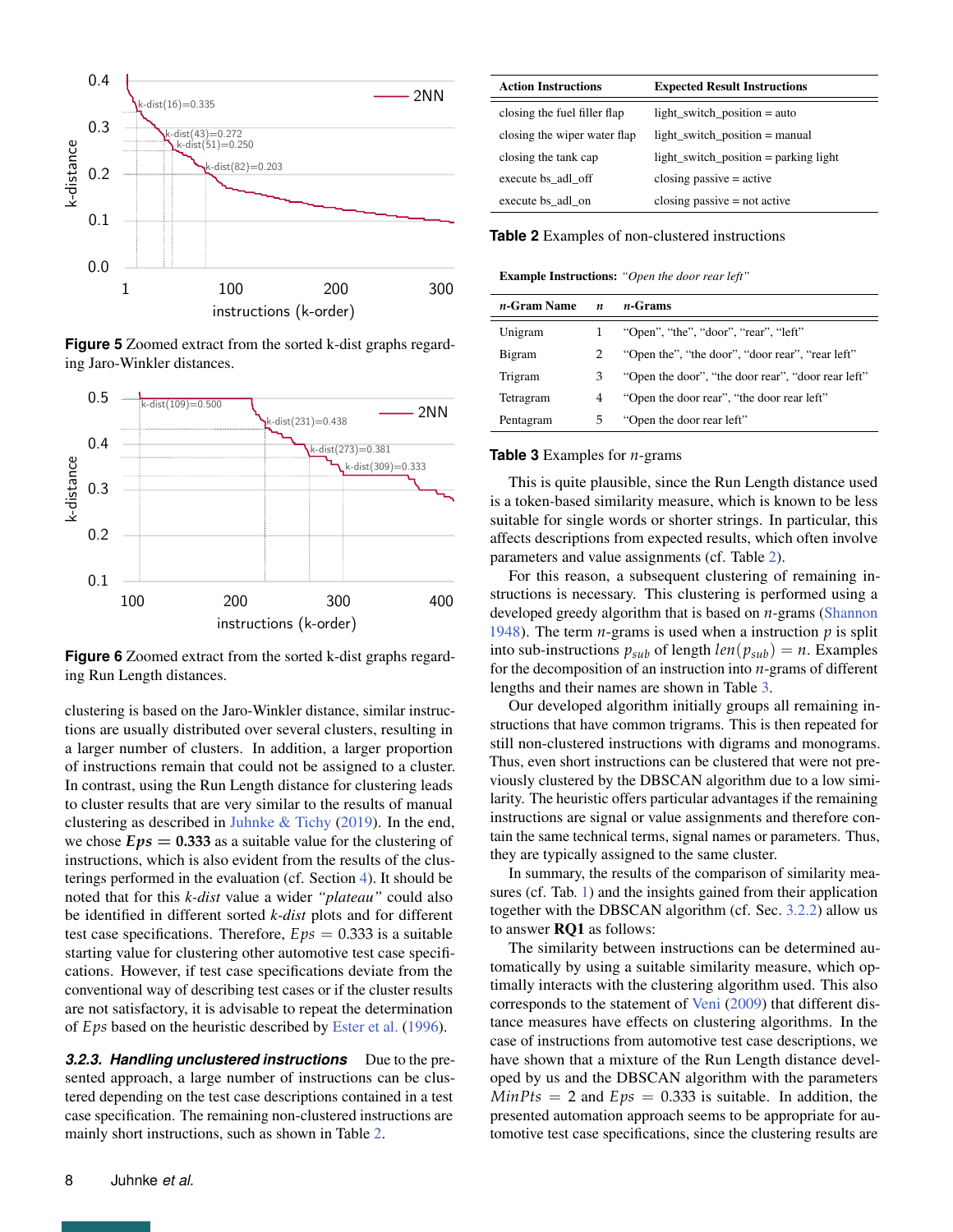<span id="page-7-1"></span>

**Figure 5** Zoomed extract from the sorted k-dist graphs regarding Jaro-Winkler distances.

<span id="page-7-0"></span>

**Figure 6** Zoomed extract from the sorted k-dist graphs regarding Run Length distances.

clustering is based on the Jaro-Winkler distance, similar instructions are usually distributed over several clusters, resulting in a larger number of clusters. In addition, a larger proportion of instructions remain that could not be assigned to a cluster. In contrast, using the Run Length distance for clustering leads to cluster results that are very similar to the results of manual clustering as described in [Juhnke & Tichy](#page-12-1) [\(2019\)](#page-12-1). In the end, we chose  $Eps = 0.333$  as a suitable value for the clustering of instructions, which is also evident from the results of the clusterings performed in the evaluation (cf. Section [4\)](#page-9-0). It should be noted that for this *k-dist* value a wider *"plateau"* could also be identified in different sorted *k-dist* plots and for different test case specifications. Therefore,  $Eps = 0.333$  is a suitable starting value for clustering other automotive test case specifications. However, if test case specifications deviate from the conventional way of describing test cases or if the cluster results are not satisfactory, it is advisable to repeat the determination of *Eps* based on the heuristic described by [Ester et al.](#page-12-3) [\(1996\)](#page-12-3).

**3.2.3. Handling unclustered instructions** Due to the presented approach, a large number of instructions can be clustered depending on the test case descriptions contained in a test case specification. The remaining non-clustered instructions are mainly short instructions, such as shown in Table [2.](#page-7-2)

<span id="page-7-2"></span>

| <b>Action Instructions</b>   | <b>Expected Result Instructions</b>   |  |  |
|------------------------------|---------------------------------------|--|--|
| closing the fuel filler flap | light_switch_position = $auto$        |  |  |
| closing the wiper water flap | $light\_switch\_position = manual$    |  |  |
| closing the tank cap         | light_switch_position = parking light |  |  |
| execute bs adl off           | closing passive $=$ active            |  |  |
| execute bs adl on            | closing passive $=$ not active        |  |  |

**Table 2** Examples of non-clustered instructions

<span id="page-7-3"></span>Example Instructions: *"Open the door rear left"*

| <i>n</i> -Gram Name | $\boldsymbol{n}$ | $n$ -Grams                                         |
|---------------------|------------------|----------------------------------------------------|
| Unigram             |                  | "Open", "the", "door", "rear", "left"              |
| Bigram              |                  | "Open the", "the door", "door rear", "rear left"   |
| Trigram             | З                | "Open the door", "the door rear", "door rear left" |
| Tetragram           | 4                | "Open the door rear", "the door rear left"         |
| Pentagram           | 5                | "Open the door rear left"                          |

#### **Table 3** Examples for *n*-grams

This is quite plausible, since the Run Length distance used is a token-based similarity measure, which is known to be less suitable for single words or shorter strings. In particular, this affects descriptions from expected results, which often involve parameters and value assignments (cf. Table [2\)](#page-7-2).

For this reason, a subsequent clustering of remaining instructions is necessary. This clustering is performed using a developed greedy algorithm that is based on *n*-grams [\(Shannon](#page-13-4) [1948\)](#page-13-4). The term *n*-grams is used when a instruction *p* is split into sub-instructions  $p_{sub}$  of length  $len(p_{sub}) = n$ . Examples for the decomposition of an instruction into *n*-grams of different lengths and their names are shown in Table [3.](#page-7-3)

Our developed algorithm initially groups all remaining instructions that have common trigrams. This is then repeated for still non-clustered instructions with digrams and monograms. Thus, even short instructions can be clustered that were not previously clustered by the DBSCAN algorithm due to a low similarity. The heuristic offers particular advantages if the remaining instructions are signal or value assignments and therefore contain the same technical terms, signal names or parameters. Thus, they are typically assigned to the same cluster.

In summary, the results of the comparison of similarity measures (cf. Tab. [1\)](#page-5-0) and the insights gained from their application together with the DBSCAN algorithm (cf. Sec. [3.2.2\)](#page-6-0) allow us to answer RQ1 as follows:

The similarity between instructions can be determined automatically by using a suitable similarity measure, which optimally interacts with the clustering algorithm used. This also corresponds to the statement of [Veni](#page-13-19) [\(2009\)](#page-13-19) that different distance measures have effects on clustering algorithms. In the case of instructions from automotive test case descriptions, we have shown that a mixture of the Run Length distance developed by us and the DBSCAN algorithm with the parameters  $MinPts = 2$  and  $Eps = 0.333$  is suitable. In addition, the presented automation approach seems to be appropriate for automotive test case specifications, since the clustering results are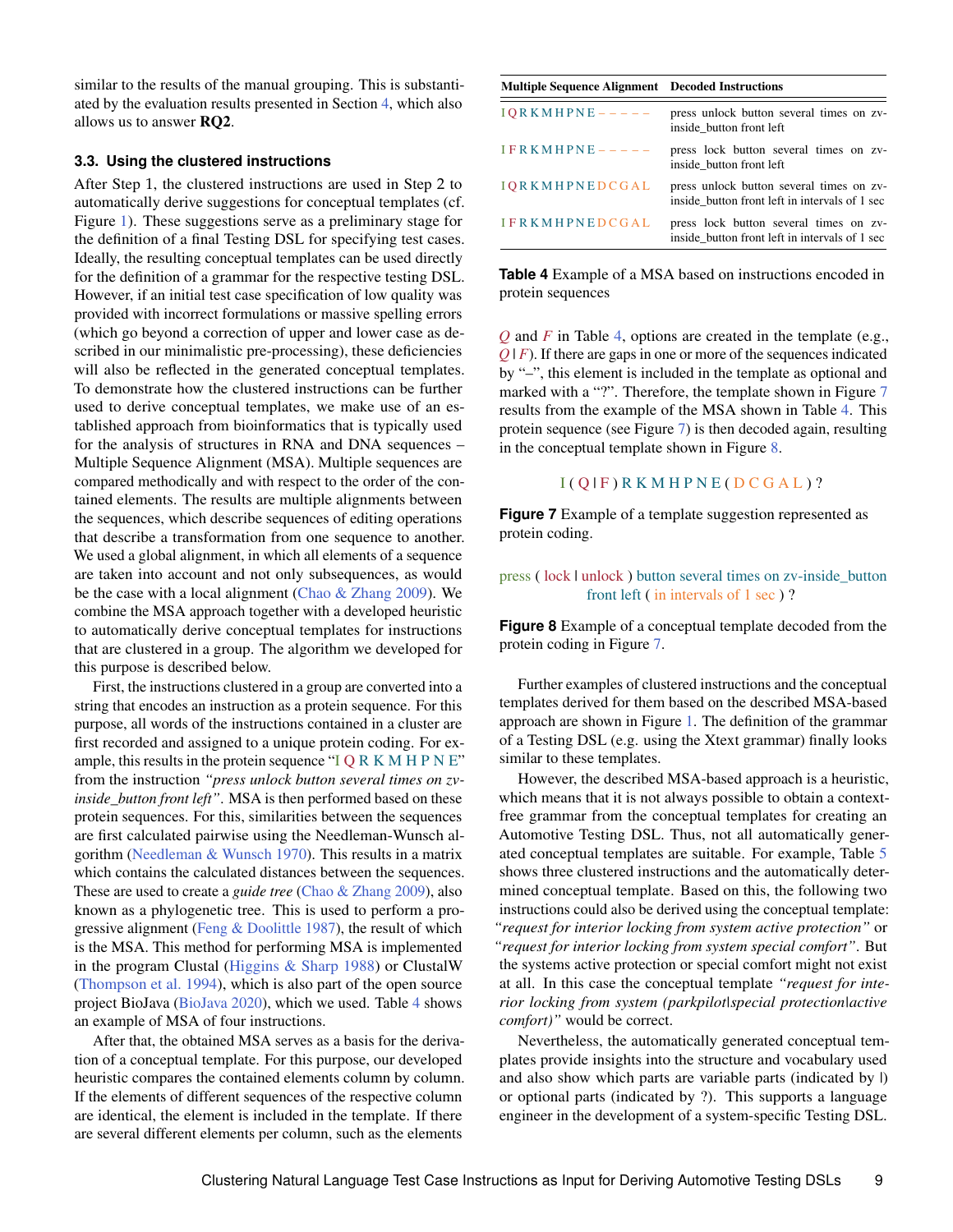similar to the results of the manual grouping. This is substantiated by the evaluation results presented in Section [4,](#page-9-0) which also allows us to answer RQ2.

#### <span id="page-8-0"></span>**3.3. Using the clustered instructions**

After Step 1, the clustered instructions are used in Step 2 to automatically derive suggestions for conceptual templates (cf. Figure [1\)](#page-3-1). These suggestions serve as a preliminary stage for the definition of a final Testing DSL for specifying test cases. Ideally, the resulting conceptual templates can be used directly for the definition of a grammar for the respective testing DSL. However, if an initial test case specification of low quality was provided with incorrect formulations or massive spelling errors (which go beyond a correction of upper and lower case as described in our minimalistic pre-processing), these deficiencies will also be reflected in the generated conceptual templates. To demonstrate how the clustered instructions can be further used to derive conceptual templates, we make use of an established approach from bioinformatics that is typically used for the analysis of structures in RNA and DNA sequences – Multiple Sequence Alignment (MSA). Multiple sequences are compared methodically and with respect to the order of the contained elements. The results are multiple alignments between the sequences, which describe sequences of editing operations that describe a transformation from one sequence to another. We used a global alignment, in which all elements of a sequence are taken into account and not only subsequences, as would be the case with a local alignment [\(Chao & Zhang](#page-12-12) [2009\)](#page-12-12). We combine the MSA approach together with a developed heuristic to automatically derive conceptual templates for instructions that are clustered in a group. The algorithm we developed for this purpose is described below.

First, the instructions clustered in a group are converted into a string that encodes an instruction as a protein sequence. For this purpose, all words of the instructions contained in a cluster are first recorded and assigned to a unique protein coding. For example, this results in the protein sequence "I Q R K M H P N E" from the instruction *"press unlock button several times on zvinside\_button front left"*. MSA is then performed based on these protein sequences. For this, similarities between the sequences are first calculated pairwise using the Needleman-Wunsch algorithm [\(Needleman & Wunsch](#page-13-28) [1970\)](#page-13-28). This results in a matrix which contains the calculated distances between the sequences. These are used to create a *guide tree* [\(Chao & Zhang](#page-12-12) [2009\)](#page-12-12), also known as a phylogenetic tree. This is used to perform a progressive alignment [\(Feng & Doolittle](#page-12-13) [1987\)](#page-12-13), the result of which is the MSA. This method for performing MSA is implemented in the program Clustal [\(Higgins & Sharp](#page-12-14) [1988\)](#page-12-14) or ClustalW [\(Thompson et al.](#page-13-29) [1994\)](#page-13-29), which is also part of the open source project BioJava [\(BioJava](#page-12-15) [2020\)](#page-12-15), which we used. Table [4](#page-8-1) shows an example of MSA of four instructions.

After that, the obtained MSA serves as a basis for the derivation of a conceptual template. For this purpose, our developed heuristic compares the contained elements column by column. If the elements of different sequences of the respective column are identical, the element is included in the template. If there are several different elements per column, such as the elements

<span id="page-8-1"></span>

| <b>Multiple Sequence Alignment</b> Decoded Instructions |                                                                                            |  |  |  |
|---------------------------------------------------------|--------------------------------------------------------------------------------------------|--|--|--|
| $IORKMHPNE---$                                          | press unlock button several times on zv-<br>inside button front left                       |  |  |  |
| $IFRKMHPNE---$                                          | press lock button several times on zv-<br>inside button front left                         |  |  |  |
| <b>IORKMHPNEDCGAL</b>                                   | press unlock button several times on zv-<br>inside button front left in intervals of 1 sec |  |  |  |
| <b>IFRKMHPNEDCGAL</b>                                   | press lock button several times on zv-<br>inside button front left in intervals of 1 sec   |  |  |  |

**Table 4** Example of a MSA based on instructions encoded in protein sequences

*Q* and *F* in Table [4,](#page-8-1) options are created in the template (e.g., *Q* | *F*). If there are gaps in one or more of the sequences indicated by "–", this element is included in the template as optional and marked with a "?". Therefore, the template shown in Figure [7](#page-8-2) results from the example of the MSA shown in Table [4.](#page-8-1) This protein sequence (see Figure [7\)](#page-8-2) is then decoded again, resulting in the conceptual template shown in Figure [8.](#page-8-3)

## $I(Q|F)$  R K M H P N E ( $D C G A L$ )?

<span id="page-8-2"></span>**Figure 7** Example of a template suggestion represented as protein coding.

## <span id="page-8-3"></span>press ( lock | unlock ) button several times on zv-inside\_button front left ( in intervals of 1 sec ) ?

**Figure 8** Example of a conceptual template decoded from the protein coding in Figure [7.](#page-8-2)

Further examples of clustered instructions and the conceptual templates derived for them based on the described MSA-based approach are shown in Figure [1.](#page-3-1) The definition of the grammar of a Testing DSL (e.g. using the Xtext grammar) finally looks similar to these templates.

However, the described MSA-based approach is a heuristic, which means that it is not always possible to obtain a contextfree grammar from the conceptual templates for creating an Automotive Testing DSL. Thus, not all automatically generated conceptual templates are suitable. For example, Table [5](#page-9-1) shows three clustered instructions and the automatically determined conceptual template. Based on this, the following two instructions could also be derived using the conceptual template: *"request for interior locking from system active protection"* or *"request for interior locking from system special comfort"*. But the systems active protection or special comfort might not exist at all. In this case the conceptual template *"request for interior locking from system (parkpilot|special protection|active comfort)"* would be correct.

Nevertheless, the automatically generated conceptual templates provide insights into the structure and vocabulary used and also show which parts are variable parts (indicated by |) or optional parts (indicated by ?). This supports a language engineer in the development of a system-specific Testing DSL.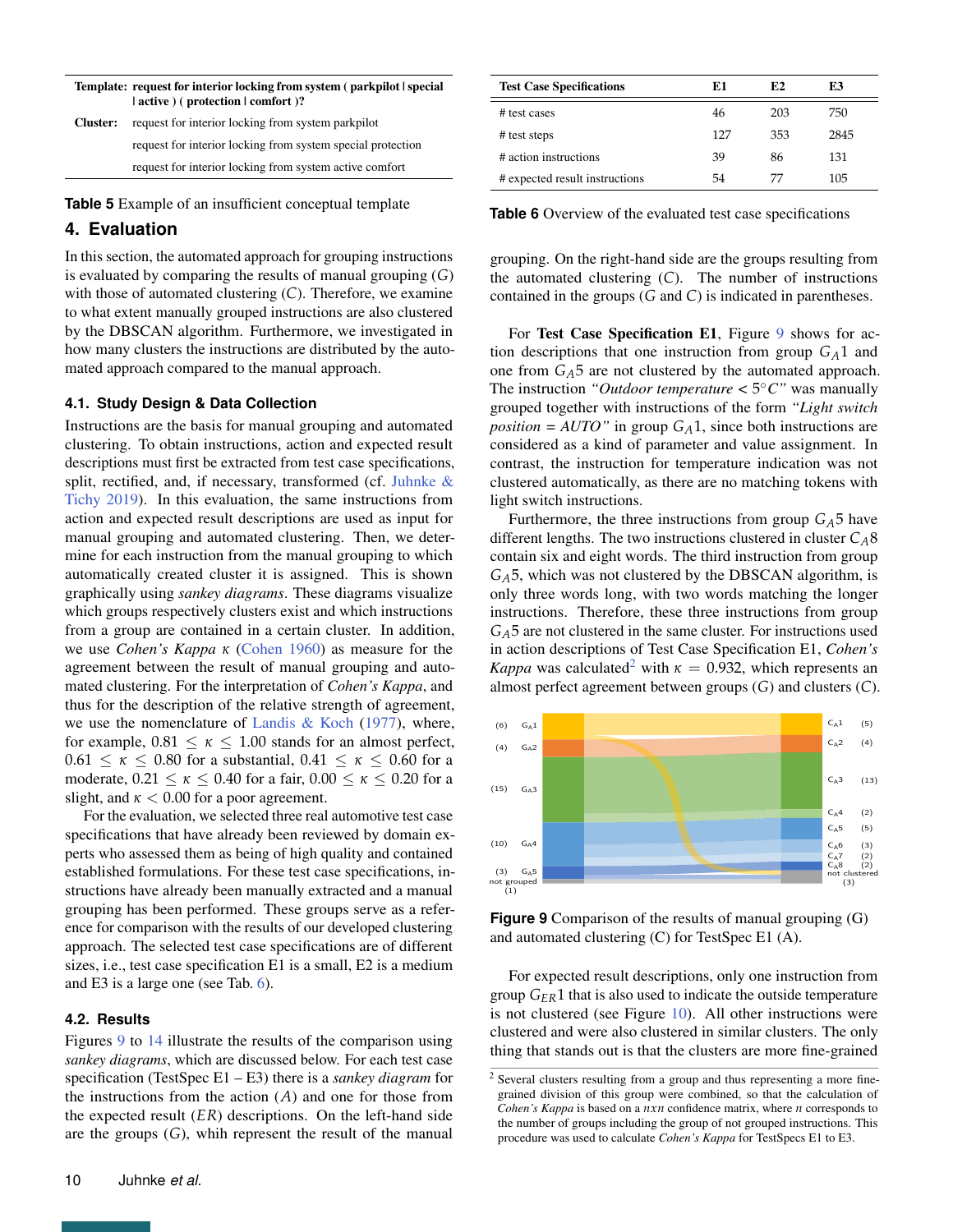<span id="page-9-1"></span>

| Template: request for interior locking from system (parkpilot special<br>$ $ active $ $ ( protection $ $ comfort $ $ ? |                                                             |  |  |  |  |
|------------------------------------------------------------------------------------------------------------------------|-------------------------------------------------------------|--|--|--|--|
| Cluster:                                                                                                               | request for interior locking from system parkpilot          |  |  |  |  |
|                                                                                                                        | request for interior locking from system special protection |  |  |  |  |
|                                                                                                                        | request for interior locking from system active comfort     |  |  |  |  |

**Table 5** Example of an insufficient conceptual template

# <span id="page-9-0"></span>**4. Evaluation**

In this section, the automated approach for grouping instructions is evaluated by comparing the results of manual grouping (*G*) with those of automated clustering (*C*). Therefore, we examine to what extent manually grouped instructions are also clustered by the DBSCAN algorithm. Furthermore, we investigated in how many clusters the instructions are distributed by the automated approach compared to the manual approach.

#### **4.1. Study Design & Data Collection**

Instructions are the basis for manual grouping and automated clustering. To obtain instructions, action and expected result descriptions must first be extracted from test case specifications, split, rectified, and, if necessary, transformed (cf. [Juhnke &](#page-12-1) [Tichy](#page-12-1) [2019\)](#page-12-1). In this evaluation, the same instructions from action and expected result descriptions are used as input for manual grouping and automated clustering. Then, we determine for each instruction from the manual grouping to which automatically created cluster it is assigned. This is shown graphically using *sankey diagrams*. These diagrams visualize which groups respectively clusters exist and which instructions from a group are contained in a certain cluster. In addition, we use *Cohen's Kappa κ* [\(Cohen](#page-12-4) [1960\)](#page-12-4) as measure for the agreement between the result of manual grouping and automated clustering. For the interpretation of *Cohen's Kappa*, and thus for the description of the relative strength of agreement, we use the nomenclature of [Landis & Koch](#page-13-30)  $(1977)$ , where, for example,  $0.81 \leq \kappa \leq 1.00$  stands for an almost perfect,  $0.61 \leq \kappa \leq 0.80$  for a substantial,  $0.41 \leq \kappa \leq 0.60$  for a moderate,  $0.21 \le \kappa \le 0.40$  for a fair,  $0.00 \le \kappa \le 0.20$  for a slight, and  $\kappa$  < 0.00 for a poor agreement.

For the evaluation, we selected three real automotive test case specifications that have already been reviewed by domain experts who assessed them as being of high quality and contained established formulations. For these test case specifications, instructions have already been manually extracted and a manual grouping has been performed. These groups serve as a reference for comparison with the results of our developed clustering approach. The selected test case specifications are of different sizes, i.e., test case specification E1 is a small, E2 is a medium and E3 is a large one (see Tab. [6\)](#page-9-2).

#### **4.2. Results**

Figures [9](#page-9-3) to [14](#page-12-16) illustrate the results of the comparison using *sankey diagrams*, which are discussed below. For each test case specification (TestSpec E1 – E3) there is a *sankey diagram* for the instructions from the action (*A*) and one for those from the expected result (*ER*) descriptions. On the left-hand side are the groups (*G*), whih represent the result of the manual

<span id="page-9-2"></span>

| <b>Test Case Specifications</b> | E1  | E2  | E3   |
|---------------------------------|-----|-----|------|
| # test cases                    | 46  | 203 | 750  |
| # test steps                    | 127 | 353 | 2845 |
| # action instructions           | 39  | 86  | 131  |
| # expected result instructions  | 54  | 77  | 105  |

**Table 6** Overview of the evaluated test case specifications

grouping. On the right-hand side are the groups resulting from the automated clustering (*C*). The number of instructions contained in the groups (*G* and *C*) is indicated in parentheses.

For Test Case Specification E1, Figure [9](#page-9-3) shows for action descriptions that one instruction from group *GA*1 and one from  $G_A$ 5 are not clustered by the automated approach. The instruction "Outdoor temperature  $\lt 5^{\circ}$ C" was manually grouped together with instructions of the form *"Light switch position* =  $AUTO$ " in group  $G_A1$ , since both instructions are considered as a kind of parameter and value assignment. In contrast, the instruction for temperature indication was not clustered automatically, as there are no matching tokens with light switch instructions.

Furthermore, the three instructions from group  $G_A$ 5 have different lengths. The two instructions clustered in cluster *CA*8 contain six and eight words. The third instruction from group *GA*5, which was not clustered by the DBSCAN algorithm, is only three words long, with two words matching the longer instructions. Therefore, these three instructions from group *GA*5 are not clustered in the same cluster. For instructions used in action descriptions of Test Case Specification E1, *Cohen's Kappa* was calculated<sup>[2](#page-0-0)</sup> with  $\kappa = 0.932$ , which represents an almost perfect agreement between groups (*G*) and clusters (*C*).

<span id="page-9-3"></span>

**Figure 9** Comparison of the results of manual grouping (G) and automated clustering (C) for TestSpec E1 (A).

For expected result descriptions, only one instruction from group *GER*1 that is also used to indicate the outside temperature is not clustered (see Figure [10\)](#page-10-0). All other instructions were clustered and were also clustered in similar clusters. The only thing that stands out is that the clusters are more fine-grained

<sup>2</sup> Several clusters resulting from a group and thus representing a more finegrained division of this group were combined, so that the calculation of *Cohen's Kappa* is based on a *nxn* confidence matrix, where *n* corresponds to the number of groups including the group of not grouped instructions. This procedure was used to calculate *Cohen's Kappa* for TestSpecs E1 to E3.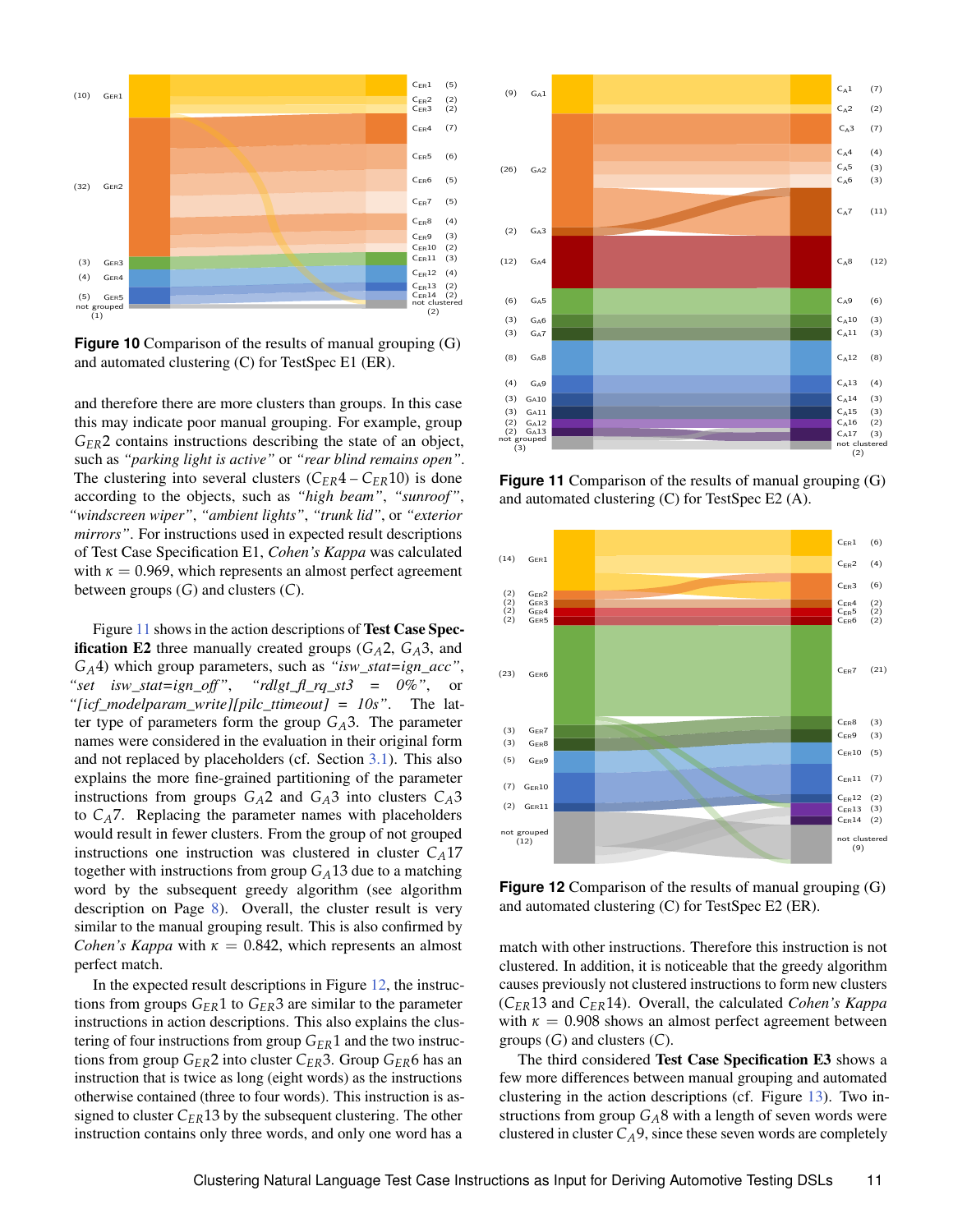<span id="page-10-0"></span>

**Figure 10** Comparison of the results of manual grouping (G) and automated clustering (C) for TestSpec E1 (ER).

and therefore there are more clusters than groups. In this case this may indicate poor manual grouping. For example, group *GER*2 contains instructions describing the state of an object, such as *"parking light is active"* or *"rear blind remains open"*. The clustering into several clusters  $(C_{ER}4 - C_{ER}10)$  is done according to the objects, such as *"high beam"*, *"sunroof"*, *"windscreen wiper"*, *"ambient lights"*, *"trunk lid"*, or *"exterior mirrors"*. For instructions used in expected result descriptions of Test Case Specification E1, *Cohen's Kappa* was calculated with  $\kappa = 0.969$ , which represents an almost perfect agreement between groups (*G*) and clusters (*C*).

Figure [11](#page-10-1) shows in the action descriptions of Test Case Spec**ification E2** three manually created groups  $(G_A 2, G_A 3)$ , and *GA*4) which group parameters, such as *"isw\_stat=ign\_acc"*, *"set isw\_stat=ign\_off"*, *"rdlgt\_fl\_rq\_st3 = 0%"*, or *"[icf\_modelparam\_write][pilc\_ttimeout] = 10s"*. The latter type of parameters form the group  $G_A$ 3. The parameter names were considered in the evaluation in their original form and not replaced by placeholders (cf. Section [3.1\)](#page-3-2). This also explains the more fine-grained partitioning of the parameter instructions from groups  $G_A$ 2 and  $G_A$ 3 into clusters  $C_A$ 3 to  $C_A$ 7. Replacing the parameter names with placeholders would result in fewer clusters. From the group of not grouped instructions one instruction was clustered in cluster  $C_A$ 17 together with instructions from group *GA*13 due to a matching word by the subsequent greedy algorithm (see algorithm description on Page [8\)](#page-7-3). Overall, the cluster result is very similar to the manual grouping result. This is also confirmed by *Cohen's Kappa* with  $\kappa = 0.842$ , which represents an almost perfect match.

In the expected result descriptions in Figure  $12$ , the instructions from groups *GER*1 to *GER*3 are similar to the parameter instructions in action descriptions. This also explains the clustering of four instructions from group *GER*1 and the two instructions from group *GER*2 into cluster *CER*3. Group *GER*6 has an instruction that is twice as long (eight words) as the instructions otherwise contained (three to four words). This instruction is assigned to cluster  $C_{ER}13$  by the subsequent clustering. The other instruction contains only three words, and only one word has a

<span id="page-10-1"></span>

**Figure 11** Comparison of the results of manual grouping (G) and automated clustering (C) for TestSpec E2 (A).

<span id="page-10-2"></span>

**Figure 12** Comparison of the results of manual grouping (G) and automated clustering (C) for TestSpec E2 (ER).

match with other instructions. Therefore this instruction is not clustered. In addition, it is noticeable that the greedy algorithm causes previously not clustered instructions to form new clusters (*CER*13 and *CER*14). Overall, the calculated *Cohen's Kappa* with  $\kappa = 0.908$  shows an almost perfect agreement between groups (*G*) and clusters (*C*).

The third considered Test Case Specification E3 shows a few more differences between manual grouping and automated clustering in the action descriptions (cf. Figure [13\)](#page-11-1). Two instructions from group *GA*8 with a length of seven words were clustered in cluster  $C_A$ 9, since these seven words are completely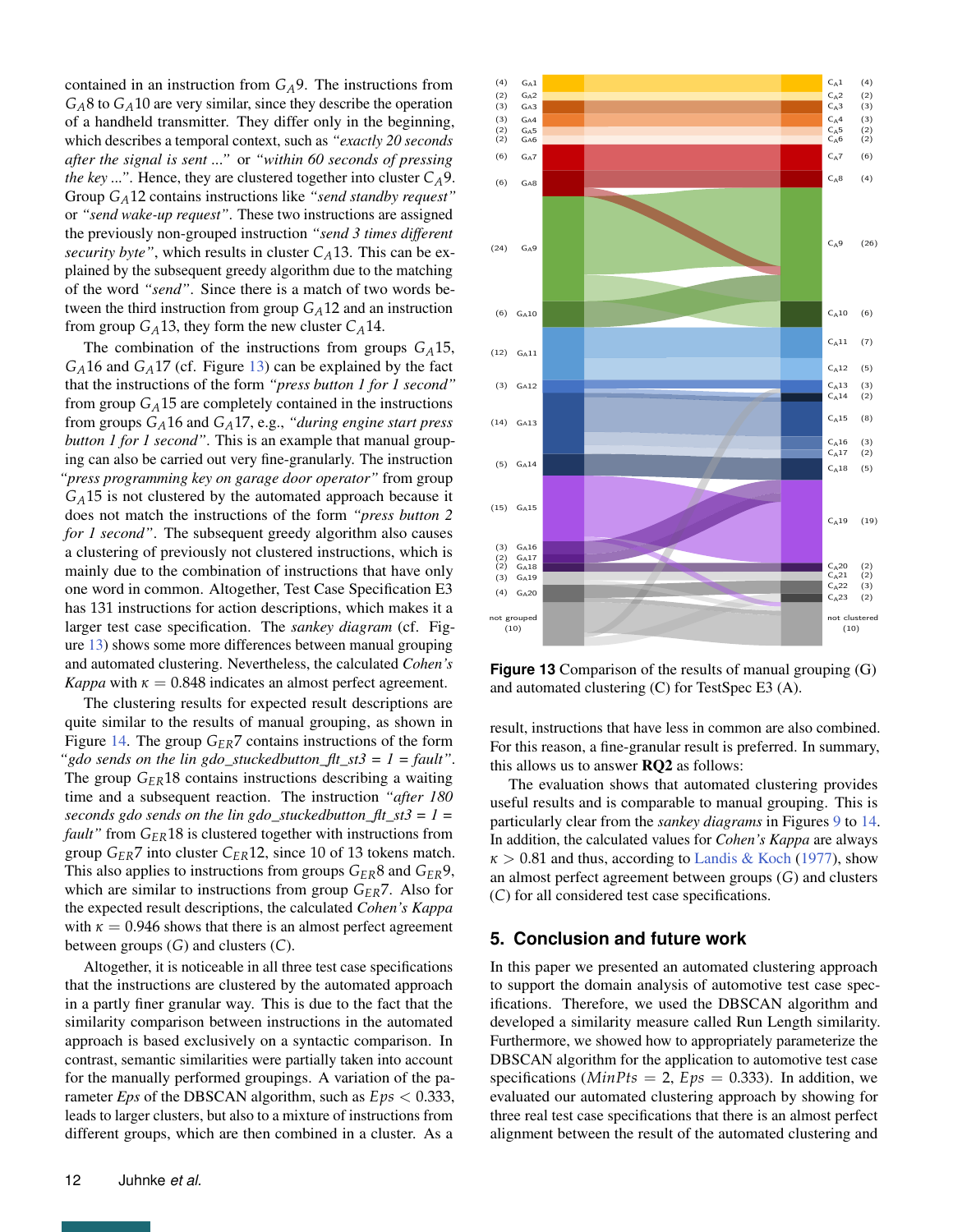contained in an instruction from *GA*9. The instructions from  $G_A$ 8 to  $G_A$ 10 are very similar, since they describe the operation of a handheld transmitter. They differ only in the beginning, which describes a temporal context, such as *"exactly 20 seconds after the signal is sent ..."* or *"within 60 seconds of pressing the key ..."*. Hence, they are clustered together into cluster  $C_A$ 9. Group *GA*12 contains instructions like *"send standby request"* or *"send wake-up request"*. These two instructions are assigned the previously non-grouped instruction *"send 3 times different security byte"*, which results in cluster  $C_A$ 13. This can be explained by the subsequent greedy algorithm due to the matching of the word *"send"*. Since there is a match of two words between the third instruction from group *GA*12 and an instruction from group  $G_A$ 13, they form the new cluster  $C_A$ 14.

The combination of the instructions from groups *GA*15, *GA*16 and *GA*17 (cf. Figure [13\)](#page-11-1) can be explained by the fact that the instructions of the form *"press button 1 for 1 second"* from group  $G_A$ 15 are completely contained in the instructions from groups *GA*16 and *GA*17, e.g., *"during engine start press button 1 for 1 second"*. This is an example that manual grouping can also be carried out very fine-granularly. The instruction *"press programming key on garage door operator"* from group  $G_A$ 15 is not clustered by the automated approach because it does not match the instructions of the form *"press button 2 for 1 second"*. The subsequent greedy algorithm also causes a clustering of previously not clustered instructions, which is mainly due to the combination of instructions that have only one word in common. Altogether, Test Case Specification E3 has 131 instructions for action descriptions, which makes it a larger test case specification. The *sankey diagram* (cf. Figure [13\)](#page-11-1) shows some more differences between manual grouping and automated clustering. Nevertheless, the calculated *Cohen's Kappa* with  $\kappa = 0.848$  indicates an almost perfect agreement.

The clustering results for expected result descriptions are quite similar to the results of manual grouping, as shown in Figure [14.](#page-12-16) The group *GER*7 contains instructions of the form *"gdo sends on the lin gdo\_stuckedbutton\_flt\_st3 = 1 = fault"*. The group *GER*18 contains instructions describing a waiting time and a subsequent reaction. The instruction *"after 180 seconds gdo sends on the lin gdo\_stuckedbutton\_flt\_st3 = 1 = fault"* from *GER*18 is clustered together with instructions from group *GER*7 into cluster *CER*12, since 10 of 13 tokens match. This also applies to instructions from groups *GER*8 and *GER*9, which are similar to instructions from group *GER*7. Also for the expected result descriptions, the calculated *Cohen's Kappa* with  $\kappa = 0.946$  shows that there is an almost perfect agreement between groups (*G*) and clusters (*C*).

Altogether, it is noticeable in all three test case specifications that the instructions are clustered by the automated approach in a partly finer granular way. This is due to the fact that the similarity comparison between instructions in the automated approach is based exclusively on a syntactic comparison. In contrast, semantic similarities were partially taken into account for the manually performed groupings. A variation of the parameter *Eps* of the DBSCAN algorithm, such as *Eps* < 0.333, leads to larger clusters, but also to a mixture of instructions from different groups, which are then combined in a cluster. As a

<span id="page-11-1"></span>

**Figure 13** Comparison of the results of manual grouping (G) and automated clustering (C) for TestSpec E3 (A).

result, instructions that have less in common are also combined. For this reason, a fine-granular result is preferred. In summary, this allows us to answer RQ2 as follows:

The evaluation shows that automated clustering provides useful results and is comparable to manual grouping. This is particularly clear from the *sankey diagrams* in Figures [9](#page-9-3) to [14.](#page-12-16) In addition, the calculated values for *Cohen's Kappa* are always  $\kappa > 0.81$  and thus, according to [Landis & Koch](#page-13-30) [\(1977\)](#page-13-30), show an almost perfect agreement between groups (*G*) and clusters (*C*) for all considered test case specifications.

# <span id="page-11-0"></span>**5. Conclusion and future work**

In this paper we presented an automated clustering approach to support the domain analysis of automotive test case specifications. Therefore, we used the DBSCAN algorithm and developed a similarity measure called Run Length similarity. Furthermore, we showed how to appropriately parameterize the DBSCAN algorithm for the application to automotive test case specifications ( $MinPts = 2$ ,  $Eps = 0.333$ ). In addition, we evaluated our automated clustering approach by showing for three real test case specifications that there is an almost perfect alignment between the result of the automated clustering and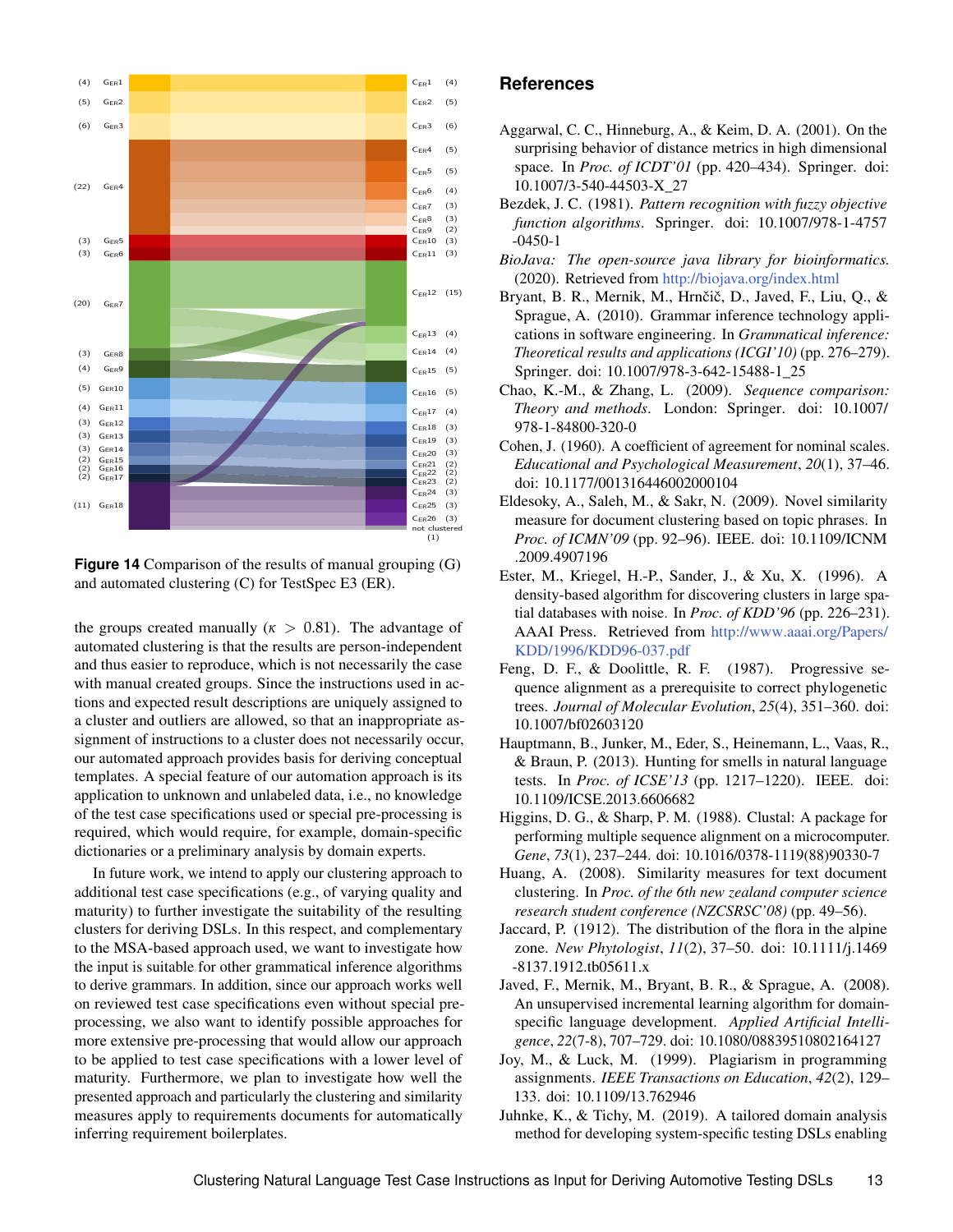<span id="page-12-16"></span>

**Figure 14** Comparison of the results of manual grouping (G) and automated clustering (C) for TestSpec E3 (ER).

the groups created manually ( $\kappa > 0.81$ ). The advantage of automated clustering is that the results are person-independent and thus easier to reproduce, which is not necessarily the case with manual created groups. Since the instructions used in actions and expected result descriptions are uniquely assigned to a cluster and outliers are allowed, so that an inappropriate assignment of instructions to a cluster does not necessarily occur, our automated approach provides basis for deriving conceptual templates. A special feature of our automation approach is its application to unknown and unlabeled data, i.e., no knowledge of the test case specifications used or special pre-processing is required, which would require, for example, domain-specific dictionaries or a preliminary analysis by domain experts.

In future work, we intend to apply our clustering approach to additional test case specifications (e.g., of varying quality and maturity) to further investigate the suitability of the resulting clusters for deriving DSLs. In this respect, and complementary to the MSA-based approach used, we want to investigate how the input is suitable for other grammatical inference algorithms to derive grammars. In addition, since our approach works well on reviewed test case specifications even without special preprocessing, we also want to identify possible approaches for more extensive pre-processing that would allow our approach to be applied to test case specifications with a lower level of maturity. Furthermore, we plan to investigate how well the presented approach and particularly the clustering and similarity measures apply to requirements documents for automatically inferring requirement boilerplates.

## **References**

- <span id="page-12-10"></span>Aggarwal, C. C., Hinneburg, A., & Keim, D. A. (2001). On the surprising behavior of distance metrics in high dimensional space. In *Proc. of ICDT'01* (pp. 420–434). Springer. doi: 10.1007/3-540-44503-X\_27
- <span id="page-12-7"></span>Bezdek, J. C. (1981). *Pattern recognition with fuzzy objective function algorithms*. Springer. doi: 10.1007/978-1-4757 -0450-1
- <span id="page-12-15"></span>*BioJava: The open-source java library for bioinformatics.* (2020). Retrieved from <http://biojava.org/index.html>
- <span id="page-12-5"></span>Bryant, B. R., Mernik, M., Hrnčič, D., Javed, F., Liu, Q., & Sprague, A. (2010). Grammar inference technology applications in software engineering. In *Grammatical inference: Theoretical results and applications (ICGI'10)* (pp. 276–279). Springer. doi: 10.1007/978-3-642-15488-1\_25
- <span id="page-12-12"></span>Chao, K.-M., & Zhang, L. (2009). *Sequence comparison: Theory and methods*. London: Springer. doi: 10.1007/ 978-1-84800-320-0
- <span id="page-12-4"></span>Cohen, J. (1960). A coefficient of agreement for nominal scales. *Educational and Psychological Measurement*, *20*(1), 37–46. doi: 10.1177/001316446002000104
- <span id="page-12-11"></span>Eldesoky, A., Saleh, M., & Sakr, N. (2009). Novel similarity measure for document clustering based on topic phrases. In *Proc. of ICMN'09* (pp. 92–96). IEEE. doi: 10.1109/ICNM .2009.4907196
- <span id="page-12-3"></span>Ester, M., Kriegel, H.-P., Sander, J., & Xu, X. (1996). A density-based algorithm for discovering clusters in large spatial databases with noise. In *Proc. of KDD'96* (pp. 226–231). AAAI Press. Retrieved from [http://www.aaai.org/Papers/](http://www.aaai.org/Papers/KDD/1996/KDD96-037.pdf) [KDD/1996/KDD96-037.pdf](http://www.aaai.org/Papers/KDD/1996/KDD96-037.pdf)
- <span id="page-12-13"></span>Feng, D. F., & Doolittle, R. F. (1987). Progressive sequence alignment as a prerequisite to correct phylogenetic trees. *Journal of Molecular Evolution*, *25*(4), 351–360. doi: 10.1007/bf02603120
- <span id="page-12-0"></span>Hauptmann, B., Junker, M., Eder, S., Heinemann, L., Vaas, R., & Braun, P. (2013). Hunting for smells in natural language tests. In *Proc. of ICSE'13* (pp. 1217–1220). IEEE. doi: 10.1109/ICSE.2013.6606682
- <span id="page-12-14"></span>Higgins, D. G., & Sharp, P. M. (1988). Clustal: A package for performing multiple sequence alignment on a microcomputer. *Gene*, *73*(1), 237–244. doi: 10.1016/0378-1119(88)90330-7
- <span id="page-12-9"></span>Huang, A. (2008). Similarity measures for text document clustering. In *Proc. of the 6th new zealand computer science research student conference (NZCSRSC'08)* (pp. 49–56).
- <span id="page-12-8"></span>Jaccard, P. (1912). The distribution of the flora in the alpine zone. *New Phytologist*, *11*(2), 37–50. doi: 10.1111/j.1469 -8137.1912.tb05611.x
- <span id="page-12-6"></span>Javed, F., Mernik, M., Bryant, B. R., & Sprague, A. (2008). An unsupervised incremental learning algorithm for domainspecific language development. *Applied Artificial Intelligence*, *22*(7-8), 707–729. doi: 10.1080/08839510802164127
- <span id="page-12-2"></span>Joy, M., & Luck, M. (1999). Plagiarism in programming assignments. *IEEE Transactions on Education*, *42*(2), 129– 133. doi: 10.1109/13.762946
- <span id="page-12-1"></span>Juhnke, K., & Tichy, M. (2019). A tailored domain analysis method for developing system-specific testing DSLs enabling